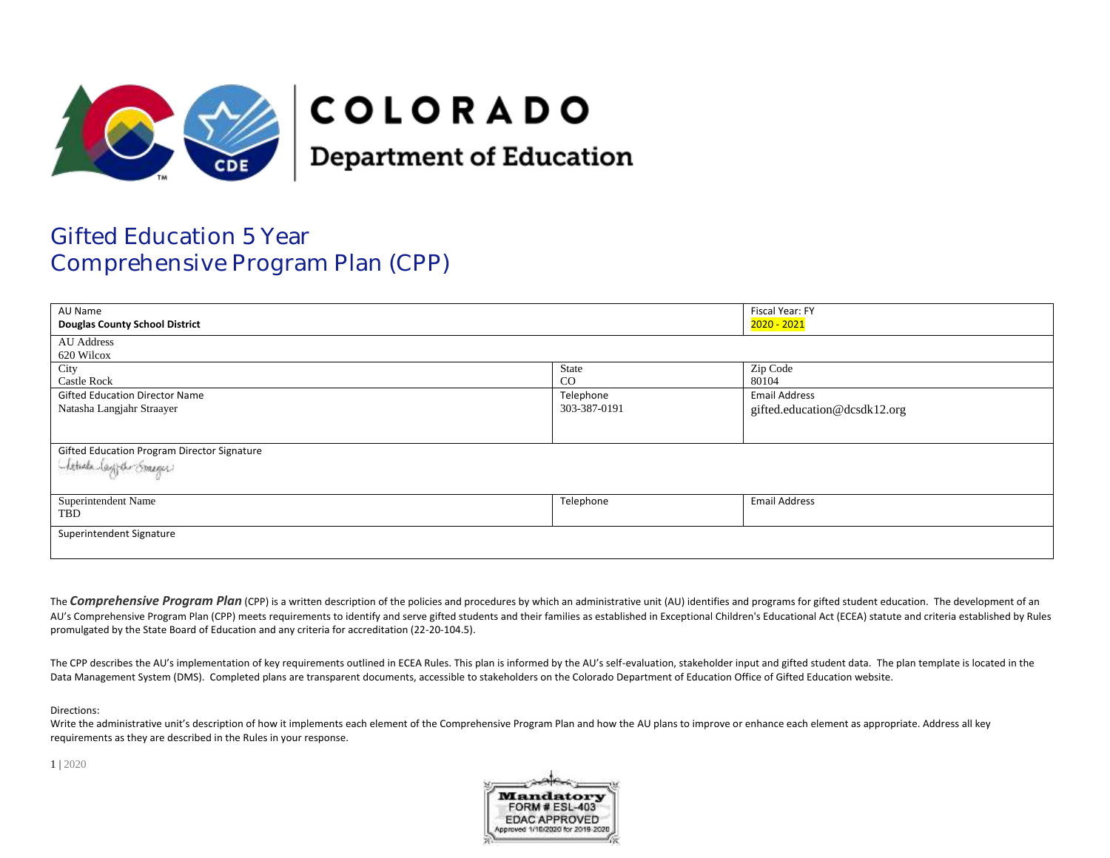

# **COLORADO**

**Department of Education** 

# Gifted Education 5 Year Comprehensive Program Plan (CPP)

| Fiscal Year: FY<br>AU Name                                              |                           |                                                      |  |
|-------------------------------------------------------------------------|---------------------------|------------------------------------------------------|--|
| <b>Douglas County School District</b>                                   |                           | 2020 - 2021                                          |  |
| AU Address<br>620 Wilcox                                                |                           |                                                      |  |
| City<br><b>Castle Rock</b>                                              | State<br>CO               | Zip Code<br>80104                                    |  |
| <b>Gifted Education Director Name</b><br>Natasha Langjahr Straayer      | Telephone<br>303-387-0191 | <b>Email Address</b><br>gifted.education@dcsdk12.org |  |
| Gifted Education Program Director Signature<br>(Article lagger Streger) |                           |                                                      |  |
| Superintendent Name<br>TBD                                              | Telephone                 | <b>Email Address</b>                                 |  |
| Superintendent Signature                                                |                           |                                                      |  |

The **Comprehensive Program Plan** (CPP) is a written description of the policies and procedures by which an administrative unit (AU) identifies and programs for gifted student education. The development of an AU's Comprehensive Program Plan (CPP) meets requirements to identify and serve gifted students and their families as established in Exceptional Children's Educational Act (ECEA) statute and criteria established by Rules promulgated by the State Board of Education and any criteria for accreditation (22-20-104.5).

The CPP describes the AU's implementation of key requirements outlined in ECEA Rules. This plan is informed by the AU's self-evaluation, stakeholder input and gifted student data. The plan template is located in the Data Management System (DMS). Completed plans are transparent documents, accessible to stakeholders on the Colorado Department of Education Office of Gifted Education website.

Directions:

Write the administrative unit's description of how it implements each element of the Comprehensive Program Plan and how the AU plans to improve or enhance each element as appropriate. Address all key requirements as they are described in the Rules in your response.

1 | 2020

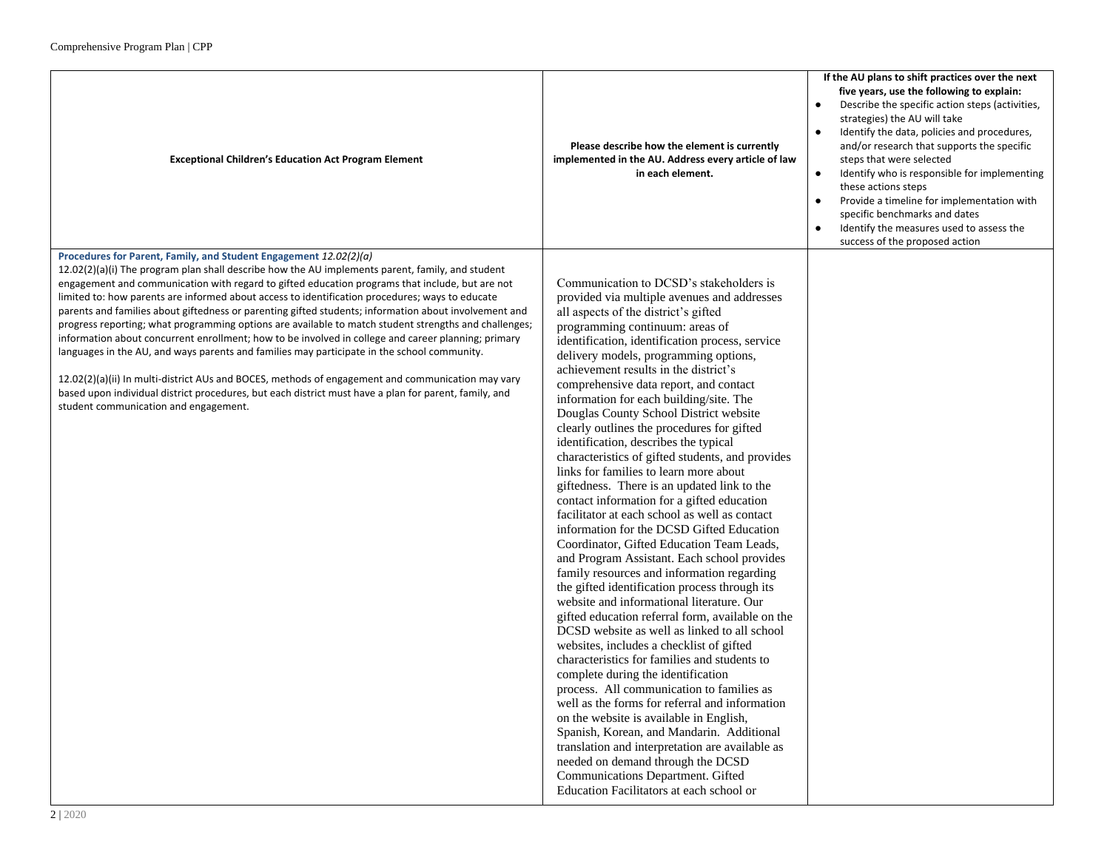| <b>Exceptional Children's Education Act Program Element</b>                                                                                                                                                                                                                                                                                                                                                                                                                                                                                                                                                                                                                                                                                                                                                                                                                                                                                                                                                                                                | Please describe how the element is currently<br>implemented in the AU. Address every article of law<br>in each element.                                                                                                                                                                                                                                                                                                                                                                                                                                                                                                                                                                                                                                                                                                                                                                                                                                                                                                                                                                                                                                                                                                                                                                                                                                                                                                                                                                                                                                                                                                                                             | If the AU plans to shift practices over the next<br>five years, use the following to explain:<br>Describe the specific action steps (activities,<br>strategies) the AU will take<br>Identify the data, policies and procedures,<br>and/or research that supports the specific<br>steps that were selected<br>Identify who is responsible for implementing<br>$\bullet$<br>these actions steps<br>Provide a timeline for implementation with<br>specific benchmarks and dates<br>Identify the measures used to assess the<br>success of the proposed action |
|------------------------------------------------------------------------------------------------------------------------------------------------------------------------------------------------------------------------------------------------------------------------------------------------------------------------------------------------------------------------------------------------------------------------------------------------------------------------------------------------------------------------------------------------------------------------------------------------------------------------------------------------------------------------------------------------------------------------------------------------------------------------------------------------------------------------------------------------------------------------------------------------------------------------------------------------------------------------------------------------------------------------------------------------------------|---------------------------------------------------------------------------------------------------------------------------------------------------------------------------------------------------------------------------------------------------------------------------------------------------------------------------------------------------------------------------------------------------------------------------------------------------------------------------------------------------------------------------------------------------------------------------------------------------------------------------------------------------------------------------------------------------------------------------------------------------------------------------------------------------------------------------------------------------------------------------------------------------------------------------------------------------------------------------------------------------------------------------------------------------------------------------------------------------------------------------------------------------------------------------------------------------------------------------------------------------------------------------------------------------------------------------------------------------------------------------------------------------------------------------------------------------------------------------------------------------------------------------------------------------------------------------------------------------------------------------------------------------------------------|------------------------------------------------------------------------------------------------------------------------------------------------------------------------------------------------------------------------------------------------------------------------------------------------------------------------------------------------------------------------------------------------------------------------------------------------------------------------------------------------------------------------------------------------------------|
| Procedures for Parent, Family, and Student Engagement 12.02(2)(a)<br>12.02(2)(a)(i) The program plan shall describe how the AU implements parent, family, and student<br>engagement and communication with regard to gifted education programs that include, but are not<br>limited to: how parents are informed about access to identification procedures; ways to educate<br>parents and families about giftedness or parenting gifted students; information about involvement and<br>progress reporting; what programming options are available to match student strengths and challenges;<br>information about concurrent enrollment; how to be involved in college and career planning; primary<br>languages in the AU, and ways parents and families may participate in the school community.<br>12.02(2)(a)(ii) In multi-district AUs and BOCES, methods of engagement and communication may vary<br>based upon individual district procedures, but each district must have a plan for parent, family, and<br>student communication and engagement. | Communication to DCSD's stakeholders is<br>provided via multiple avenues and addresses<br>all aspects of the district's gifted<br>programming continuum: areas of<br>identification, identification process, service<br>delivery models, programming options,<br>achievement results in the district's<br>comprehensive data report, and contact<br>information for each building/site. The<br>Douglas County School District website<br>clearly outlines the procedures for gifted<br>identification, describes the typical<br>characteristics of gifted students, and provides<br>links for families to learn more about<br>giftedness. There is an updated link to the<br>contact information for a gifted education<br>facilitator at each school as well as contact<br>information for the DCSD Gifted Education<br>Coordinator, Gifted Education Team Leads,<br>and Program Assistant. Each school provides<br>family resources and information regarding<br>the gifted identification process through its<br>website and informational literature. Our<br>gifted education referral form, available on the<br>DCSD website as well as linked to all school<br>websites, includes a checklist of gifted<br>characteristics for families and students to<br>complete during the identification<br>process. All communication to families as<br>well as the forms for referral and information<br>on the website is available in English,<br>Spanish, Korean, and Mandarin. Additional<br>translation and interpretation are available as<br>needed on demand through the DCSD<br>Communications Department. Gifted<br>Education Facilitators at each school or |                                                                                                                                                                                                                                                                                                                                                                                                                                                                                                                                                            |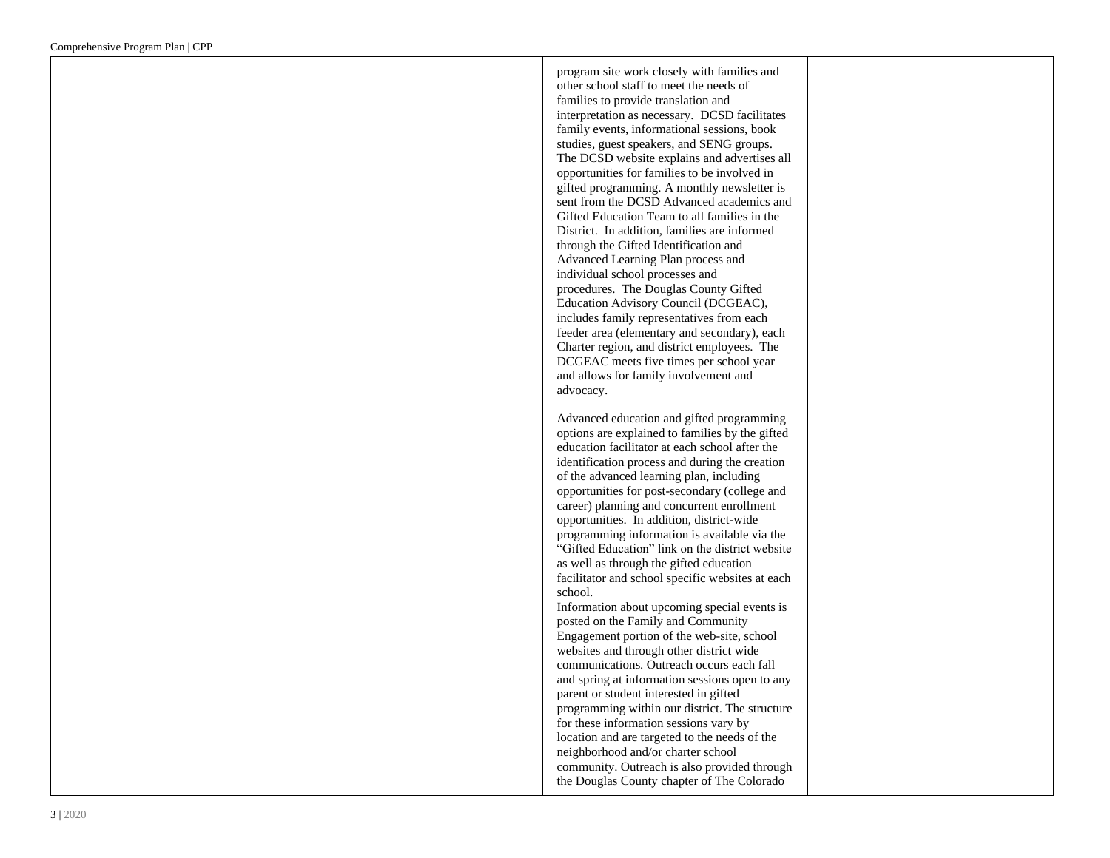program site work closely with families and other school staff to meet the needs of families to provide translation and interpretation as necessary. DCSD facilitates family events, informational sessions, book studies, guest speakers, and SENG groups. The DCSD website explains and advertises all opportunities for families to be involved in gifted programming. A monthly newsletter is sent from the DCSD Advanced academics and Gifted Education Team to all families in the District. In addition, families are informed through the Gifted Identification and Advanced Learning Plan process and individual school processes and procedures. The Douglas County Gifted Education Advisory Council (DCGEAC), includes family representatives from each feeder area (elementary and secondary), each Charter region, and district employees. The DCGEAC meets five times per school year and allows for family involvement and advocacy.

Advanced education and gifted programming options are explained to families by the gifted education facilitator at each school after the identification process and during the creation of the advanced learning plan, including opportunities for post -secondary (college and career) planning and concurrent enrollment opportunities. In addition, district -wide programming information is available via the "Gifted Education" link on the district website as well as through the gifted education facilitator and school specific websites at each school.

Information about upcoming special events is posted on the Family and Community Engagement portion of the web -site, school websites and through other district wide communications. Outreach occurs each fall and spring at information sessions open to any parent or student interested in gifted programming within our district. The structure for these information sessions vary by location and are targeted to the needs of the neighborhood and/or charter school community. Outreach is also provided through the Douglas County chapter of The Colorado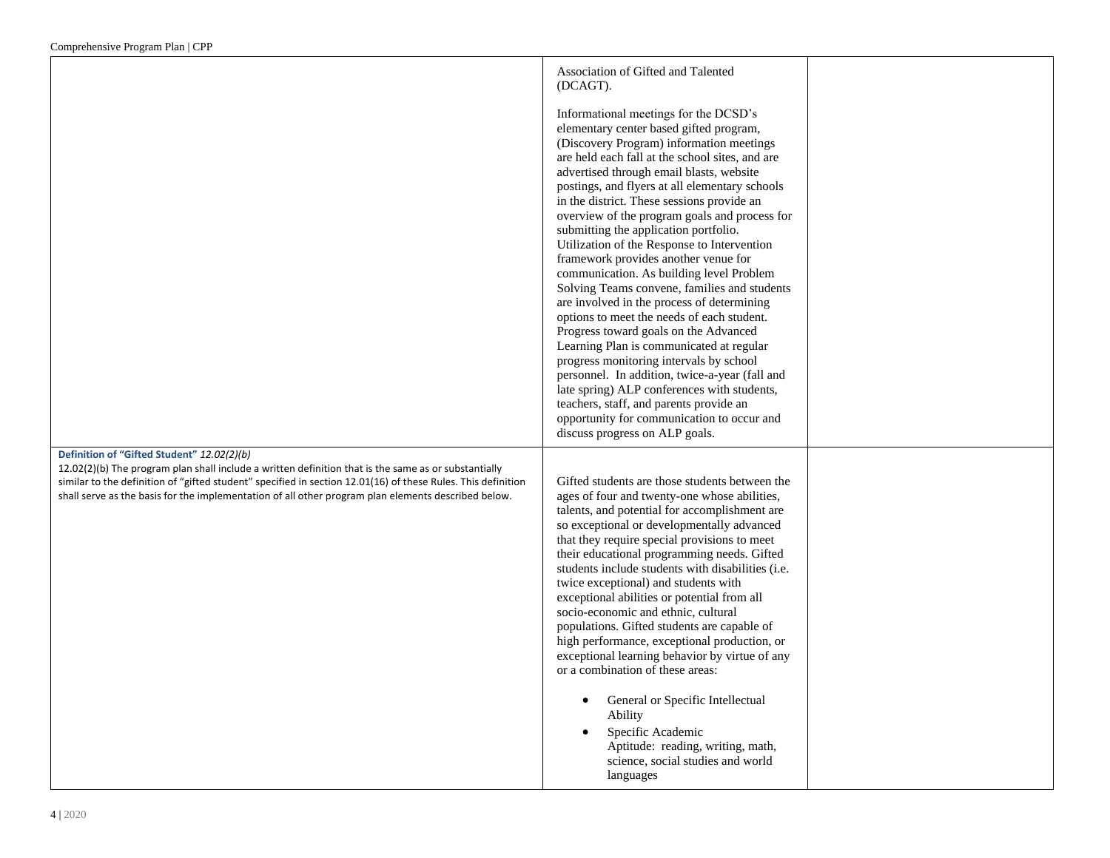| Association of Gifted and Talented<br>(DCAGT).<br>Informational meetings for the DCSD's<br>elementary center based gifted program,<br>(Discovery Program) information meetings<br>are held each fall at the school sites, and are                                                                                                                                                                                                                                                                                                                                                                                                                                                                                                                                                                                                 |                                                                                            |
|-----------------------------------------------------------------------------------------------------------------------------------------------------------------------------------------------------------------------------------------------------------------------------------------------------------------------------------------------------------------------------------------------------------------------------------------------------------------------------------------------------------------------------------------------------------------------------------------------------------------------------------------------------------------------------------------------------------------------------------------------------------------------------------------------------------------------------------|--------------------------------------------------------------------------------------------|
| postings, and flyers at all elementary schools<br>in the district. These sessions provide an<br>overview of the program goals and process for<br>submitting the application portfolio.<br>Utilization of the Response to Intervention<br>framework provides another venue for<br>communication. As building level Problem<br>Solving Teams convene, families and students<br>are involved in the process of determining<br>options to meet the needs of each student.<br>Progress toward goals on the Advanced<br>Learning Plan is communicated at regular<br>progress monitoring intervals by school<br>personnel. In addition, twice-a-year (fall and<br>late spring) ALP conferences with students,<br>teachers, staff, and parents provide an<br>opportunity for communication to occur and<br>discuss progress on ALP goals. |                                                                                            |
| Gifted students are those students between the<br>ages of four and twenty-one whose abilities,<br>talents, and potential for accomplishment are<br>so exceptional or developmentally advanced<br>that they require special provisions to meet<br>their educational programming needs. Gifted<br>students include students with disabilities (i.e.<br>twice exceptional) and students with<br>exceptional abilities or potential from all<br>socio-economic and ethnic, cultural<br>populations. Gifted students are capable of<br>high performance, exceptional production, or<br>exceptional learning behavior by virtue of any<br>or a combination of these areas:<br>General or Specific Intellectual<br>Ability<br>Specific Academic<br>Aptitude: reading, writing, math,                                                     |                                                                                            |
|                                                                                                                                                                                                                                                                                                                                                                                                                                                                                                                                                                                                                                                                                                                                                                                                                                   | advertised through email blasts, website<br>science, social studies and world<br>languages |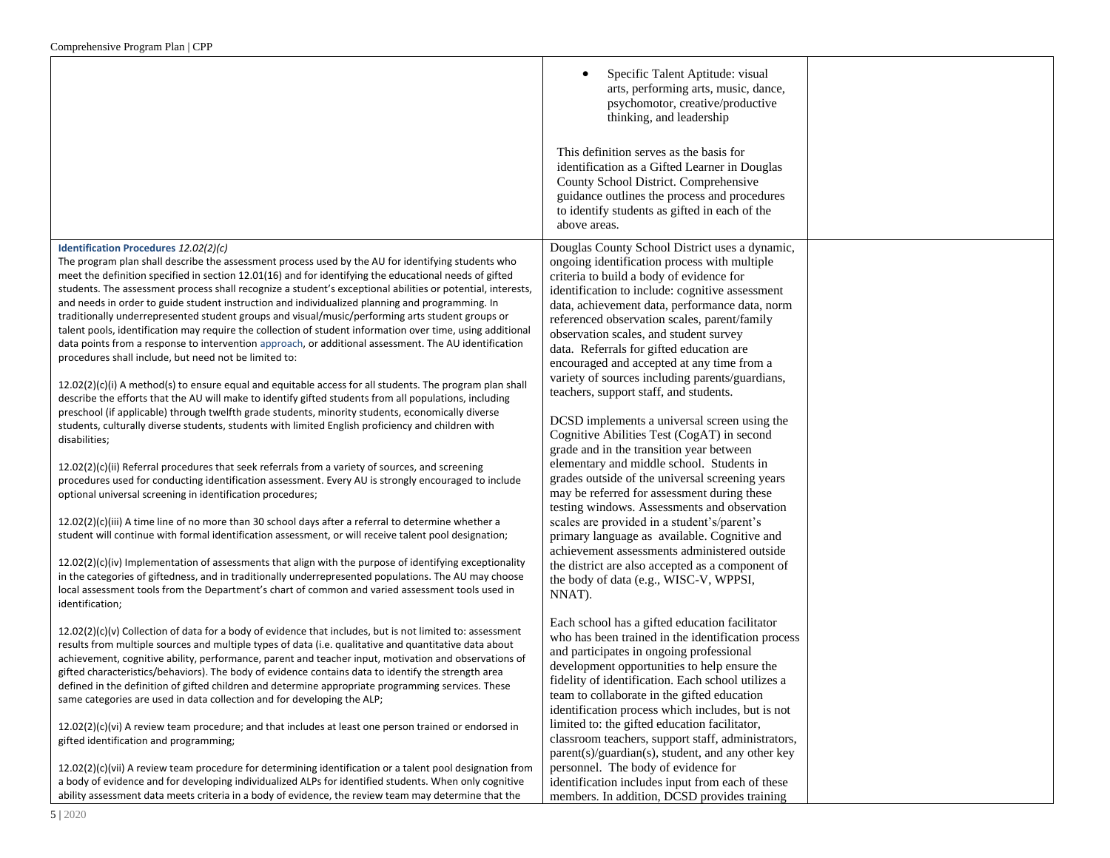|                                                                                                                                                                                                                                                                                                                                                                                                                                                                                                                                                                                                                                                                                                                                                                                                                                                             | Specific Talent Aptitude: visual<br>arts, performing arts, music, dance,<br>psychomotor, creative/productive<br>thinking, and leadership                                                                                                                                                                                                                                                                                            |  |
|-------------------------------------------------------------------------------------------------------------------------------------------------------------------------------------------------------------------------------------------------------------------------------------------------------------------------------------------------------------------------------------------------------------------------------------------------------------------------------------------------------------------------------------------------------------------------------------------------------------------------------------------------------------------------------------------------------------------------------------------------------------------------------------------------------------------------------------------------------------|-------------------------------------------------------------------------------------------------------------------------------------------------------------------------------------------------------------------------------------------------------------------------------------------------------------------------------------------------------------------------------------------------------------------------------------|--|
|                                                                                                                                                                                                                                                                                                                                                                                                                                                                                                                                                                                                                                                                                                                                                                                                                                                             | This definition serves as the basis for<br>identification as a Gifted Learner in Douglas<br>County School District. Comprehensive<br>guidance outlines the process and procedures<br>to identify students as gifted in each of the<br>above areas.                                                                                                                                                                                  |  |
| Identification Procedures 12.02(2)(c)<br>The program plan shall describe the assessment process used by the AU for identifying students who<br>meet the definition specified in section 12.01(16) and for identifying the educational needs of gifted<br>students. The assessment process shall recognize a student's exceptional abilities or potential, interests,<br>and needs in order to guide student instruction and individualized planning and programming. In<br>traditionally underrepresented student groups and visual/music/performing arts student groups or<br>talent pools, identification may require the collection of student information over time, using additional<br>data points from a response to intervention approach, or additional assessment. The AU identification<br>procedures shall include, but need not be limited to: | Douglas County School District uses a dynamic,<br>ongoing identification process with multiple<br>criteria to build a body of evidence for<br>identification to include: cognitive assessment<br>data, achievement data, performance data, norm<br>referenced observation scales, parent/family<br>observation scales, and student survey<br>data. Referrals for gifted education are<br>encouraged and accepted at any time from a |  |
| $12.02(2)(c)(i)$ A method(s) to ensure equal and equitable access for all students. The program plan shall<br>describe the efforts that the AU will make to identify gifted students from all populations, including<br>preschool (if applicable) through twelfth grade students, minority students, economically diverse<br>students, culturally diverse students, students with limited English proficiency and children with<br>disabilities;                                                                                                                                                                                                                                                                                                                                                                                                            | variety of sources including parents/guardians,<br>teachers, support staff, and students.<br>DCSD implements a universal screen using the<br>Cognitive Abilities Test (CogAT) in second<br>grade and in the transition year between                                                                                                                                                                                                 |  |
| 12.02(2)(c)(ii) Referral procedures that seek referrals from a variety of sources, and screening<br>procedures used for conducting identification assessment. Every AU is strongly encouraged to include<br>optional universal screening in identification procedures;                                                                                                                                                                                                                                                                                                                                                                                                                                                                                                                                                                                      | elementary and middle school. Students in<br>grades outside of the universal screening years<br>may be referred for assessment during these<br>testing windows. Assessments and observation                                                                                                                                                                                                                                         |  |
| $12.02(2)(c)(iii)$ A time line of no more than 30 school days after a referral to determine whether a<br>student will continue with formal identification assessment, or will receive talent pool designation;                                                                                                                                                                                                                                                                                                                                                                                                                                                                                                                                                                                                                                              | scales are provided in a student's/parent's<br>primary language as available. Cognitive and<br>achievement assessments administered outside                                                                                                                                                                                                                                                                                         |  |
| $12.02(2)(c)(iv)$ Implementation of assessments that align with the purpose of identifying exceptionality<br>in the categories of giftedness, and in traditionally underrepresented populations. The AU may choose<br>local assessment tools from the Department's chart of common and varied assessment tools used in<br>identification;                                                                                                                                                                                                                                                                                                                                                                                                                                                                                                                   | the district are also accepted as a component of<br>the body of data (e.g., WISC-V, WPPSI,<br>NNAT).                                                                                                                                                                                                                                                                                                                                |  |
| $12.02(2)(c)(v)$ Collection of data for a body of evidence that includes, but is not limited to: assessment<br>results from multiple sources and multiple types of data (i.e. qualitative and quantitative data about<br>achievement, cognitive ability, performance, parent and teacher input, motivation and observations of<br>gifted characteristics/behaviors). The body of evidence contains data to identify the strength area<br>defined in the definition of gifted children and determine appropriate programming services. These<br>same categories are used in data collection and for developing the ALP;                                                                                                                                                                                                                                      | Each school has a gifted education facilitator<br>who has been trained in the identification process<br>and participates in ongoing professional<br>development opportunities to help ensure the<br>fidelity of identification. Each school utilizes a<br>team to collaborate in the gifted education<br>identification process which includes, but is not                                                                          |  |
| $12.02(2)(c)(vi)$ A review team procedure; and that includes at least one person trained or endorsed in<br>gifted identification and programming;                                                                                                                                                                                                                                                                                                                                                                                                                                                                                                                                                                                                                                                                                                           | limited to: the gifted education facilitator,<br>classroom teachers, support staff, administrators,<br>parent(s)/guardian(s), student, and any other key                                                                                                                                                                                                                                                                            |  |
| 12.02(2)(c)(vii) A review team procedure for determining identification or a talent pool designation from<br>a body of evidence and for developing individualized ALPs for identified students. When only cognitive<br>ability assessment data meets criteria in a body of evidence, the review team may determine that the                                                                                                                                                                                                                                                                                                                                                                                                                                                                                                                                 | personnel. The body of evidence for<br>identification includes input from each of these<br>members. In addition, DCSD provides training                                                                                                                                                                                                                                                                                             |  |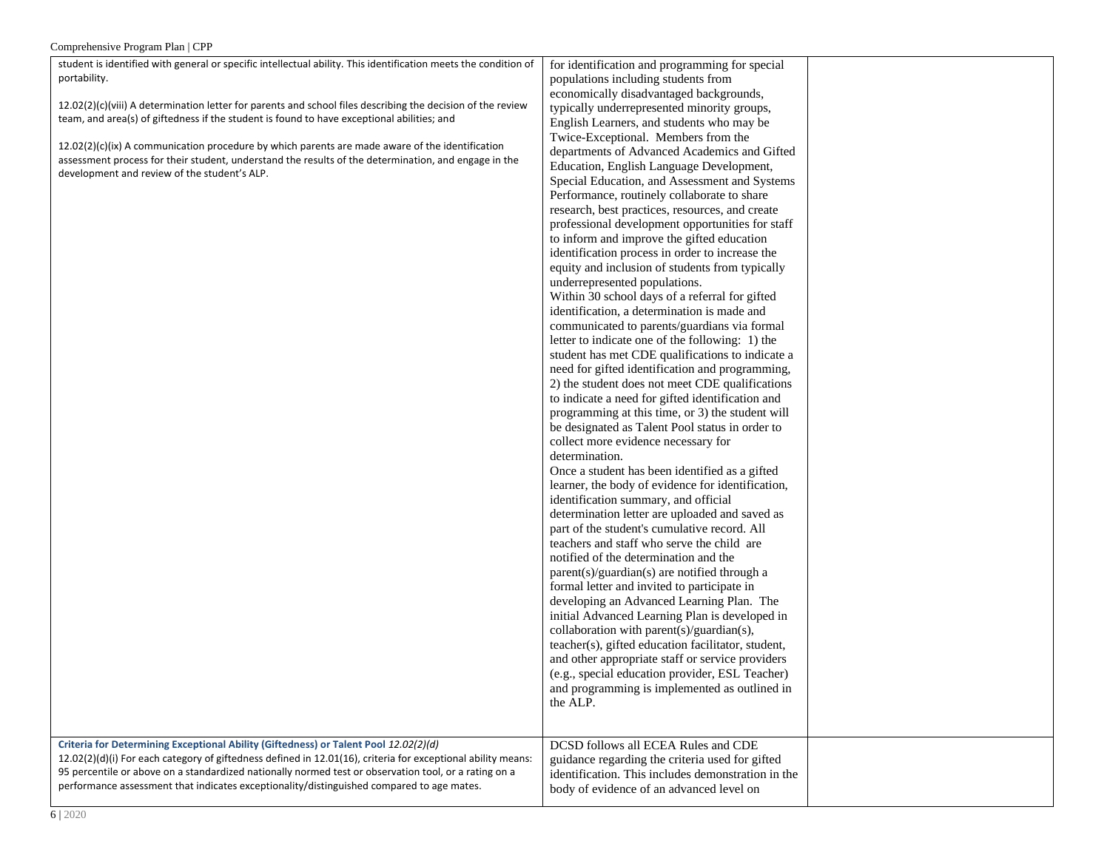| student is identified with general or specific intellectual ability. This identification meets the condition of | for identification and programming for special     |  |
|-----------------------------------------------------------------------------------------------------------------|----------------------------------------------------|--|
| portability.                                                                                                    | populations including students from                |  |
|                                                                                                                 | economically disadvantaged backgrounds,            |  |
| $12.02(2)(c)(viii)$ A determination letter for parents and school files describing the decision of the review   | typically underrepresented minority groups,        |  |
| team, and area(s) of giftedness if the student is found to have exceptional abilities; and                      | English Learners, and students who may be          |  |
|                                                                                                                 | Twice-Exceptional. Members from the                |  |
| $12.02(2)(c)(ix)$ A communication procedure by which parents are made aware of the identification               | departments of Advanced Academics and Gifted       |  |
| assessment process for their student, understand the results of the determination, and engage in the            | Education, English Language Development,           |  |
| development and review of the student's ALP.                                                                    | Special Education, and Assessment and Systems      |  |
|                                                                                                                 | Performance, routinely collaborate to share        |  |
|                                                                                                                 | research, best practices, resources, and create    |  |
|                                                                                                                 | professional development opportunities for staff   |  |
|                                                                                                                 | to inform and improve the gifted education         |  |
|                                                                                                                 | identification process in order to increase the    |  |
|                                                                                                                 | equity and inclusion of students from typically    |  |
|                                                                                                                 | underrepresented populations.                      |  |
|                                                                                                                 | Within 30 school days of a referral for gifted     |  |
|                                                                                                                 | identification, a determination is made and        |  |
|                                                                                                                 | communicated to parents/guardians via formal       |  |
|                                                                                                                 | letter to indicate one of the following: 1) the    |  |
|                                                                                                                 | student has met CDE qualifications to indicate a   |  |
|                                                                                                                 | need for gifted identification and programming,    |  |
|                                                                                                                 | 2) the student does not meet CDE qualifications    |  |
|                                                                                                                 | to indicate a need for gifted identification and   |  |
|                                                                                                                 | programming at this time, or 3) the student will   |  |
|                                                                                                                 | be designated as Talent Pool status in order to    |  |
|                                                                                                                 | collect more evidence necessary for                |  |
|                                                                                                                 | determination.                                     |  |
|                                                                                                                 | Once a student has been identified as a gifted     |  |
|                                                                                                                 | learner, the body of evidence for identification,  |  |
|                                                                                                                 | identification summary, and official               |  |
|                                                                                                                 | determination letter are uploaded and saved as     |  |
|                                                                                                                 | part of the student's cumulative record. All       |  |
|                                                                                                                 | teachers and staff who serve the child are         |  |
|                                                                                                                 | notified of the determination and the              |  |
|                                                                                                                 | parent(s)/guardian(s) are notified through a       |  |
|                                                                                                                 | formal letter and invited to participate in        |  |
|                                                                                                                 | developing an Advanced Learning Plan. The          |  |
|                                                                                                                 | initial Advanced Learning Plan is developed in     |  |
|                                                                                                                 | collaboration with parent(s)/guardian(s),          |  |
|                                                                                                                 | teacher(s), gifted education facilitator, student, |  |
|                                                                                                                 | and other appropriate staff or service providers   |  |
|                                                                                                                 | (e.g., special education provider, ESL Teacher)    |  |
|                                                                                                                 | and programming is implemented as outlined in      |  |
|                                                                                                                 | the ALP.                                           |  |
|                                                                                                                 |                                                    |  |
|                                                                                                                 |                                                    |  |
| Criteria for Determining Exceptional Ability (Giftedness) or Talent Pool 12.02(2)(d)                            | DCSD follows all ECEA Rules and CDE                |  |
| 12.02(2)(d)(i) For each category of giftedness defined in 12.01(16), criteria for exceptional ability means:    | guidance regarding the criteria used for gifted    |  |
| 95 percentile or above on a standardized nationally normed test or observation tool, or a rating on a           | identification. This includes demonstration in the |  |
| performance assessment that indicates exceptionality/distinguished compared to age mates.                       | body of evidence of an advanced level on           |  |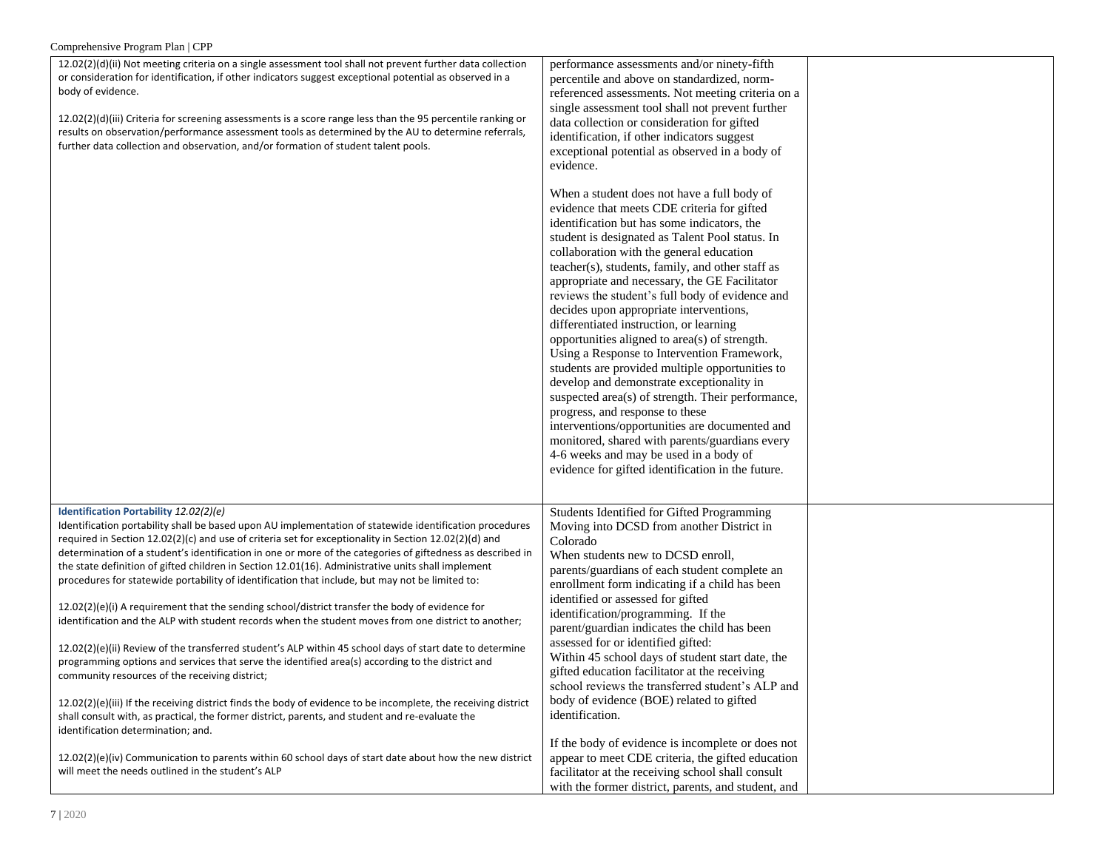| Comprehensive Program Plan   CPP                                                                                                                                                                                                                                                                                                                                                                                                                                                                                                                                                                                                                                                                                                                                                                                                                                                                                                                                                                                                                                                                                                                                                                                                                                                                                          |                                                                                                                                                                                                                                                                                                                                                                                                                                                                                                                                                                                                                                                                                                                                                                                                                                                                                                                                                                                   |  |
|---------------------------------------------------------------------------------------------------------------------------------------------------------------------------------------------------------------------------------------------------------------------------------------------------------------------------------------------------------------------------------------------------------------------------------------------------------------------------------------------------------------------------------------------------------------------------------------------------------------------------------------------------------------------------------------------------------------------------------------------------------------------------------------------------------------------------------------------------------------------------------------------------------------------------------------------------------------------------------------------------------------------------------------------------------------------------------------------------------------------------------------------------------------------------------------------------------------------------------------------------------------------------------------------------------------------------|-----------------------------------------------------------------------------------------------------------------------------------------------------------------------------------------------------------------------------------------------------------------------------------------------------------------------------------------------------------------------------------------------------------------------------------------------------------------------------------------------------------------------------------------------------------------------------------------------------------------------------------------------------------------------------------------------------------------------------------------------------------------------------------------------------------------------------------------------------------------------------------------------------------------------------------------------------------------------------------|--|
| 12.02(2)(d)(ii) Not meeting criteria on a single assessment tool shall not prevent further data collection<br>or consideration for identification, if other indicators suggest exceptional potential as observed in a<br>body of evidence.<br>12.02(2)(d)(iii) Criteria for screening assessments is a score range less than the 95 percentile ranking or<br>results on observation/performance assessment tools as determined by the AU to determine referrals,<br>further data collection and observation, and/or formation of student talent pools.                                                                                                                                                                                                                                                                                                                                                                                                                                                                                                                                                                                                                                                                                                                                                                    | performance assessments and/or ninety-fifth<br>percentile and above on standardized, norm-<br>referenced assessments. Not meeting criteria on a<br>single assessment tool shall not prevent further<br>data collection or consideration for gifted<br>identification, if other indicators suggest<br>exceptional potential as observed in a body of<br>evidence.                                                                                                                                                                                                                                                                                                                                                                                                                                                                                                                                                                                                                  |  |
|                                                                                                                                                                                                                                                                                                                                                                                                                                                                                                                                                                                                                                                                                                                                                                                                                                                                                                                                                                                                                                                                                                                                                                                                                                                                                                                           | When a student does not have a full body of<br>evidence that meets CDE criteria for gifted<br>identification but has some indicators, the<br>student is designated as Talent Pool status. In<br>collaboration with the general education<br>teacher(s), students, family, and other staff as<br>appropriate and necessary, the GE Facilitator<br>reviews the student's full body of evidence and<br>decides upon appropriate interventions,<br>differentiated instruction, or learning<br>opportunities aligned to area(s) of strength.<br>Using a Response to Intervention Framework,<br>students are provided multiple opportunities to<br>develop and demonstrate exceptionality in<br>suspected area(s) of strength. Their performance,<br>progress, and response to these<br>interventions/opportunities are documented and<br>monitored, shared with parents/guardians every<br>4-6 weeks and may be used in a body of<br>evidence for gifted identification in the future. |  |
| Identification Portability 12.02(2)(e)<br>Identification portability shall be based upon AU implementation of statewide identification procedures<br>required in Section 12.02(2)(c) and use of criteria set for exceptionality in Section 12.02(2)(d) and<br>determination of a student's identification in one or more of the categories of giftedness as described in<br>the state definition of gifted children in Section 12.01(16). Administrative units shall implement<br>procedures for statewide portability of identification that include, but may not be limited to:<br>12.02(2)(e)(i) A requirement that the sending school/district transfer the body of evidence for<br>identification and the ALP with student records when the student moves from one district to another;<br>12.02(2)(e)(ii) Review of the transferred student's ALP within 45 school days of start date to determine<br>programming options and services that serve the identified area(s) according to the district and<br>community resources of the receiving district;<br>12.02(2)(e)(iii) If the receiving district finds the body of evidence to be incomplete, the receiving district<br>shall consult with, as practical, the former district, parents, and student and re-evaluate the<br>identification determination; and. | Students Identified for Gifted Programming<br>Moving into DCSD from another District in<br>Colorado<br>When students new to DCSD enroll,<br>parents/guardians of each student complete an<br>enrollment form indicating if a child has been<br>identified or assessed for gifted<br>identification/programming. If the<br>parent/guardian indicates the child has been<br>assessed for or identified gifted:<br>Within 45 school days of student start date, the<br>gifted education facilitator at the receiving<br>school reviews the transferred student's ALP and<br>body of evidence (BOE) related to gifted<br>identification.                                                                                                                                                                                                                                                                                                                                              |  |
| 12.02(2)(e)(iv) Communication to parents within 60 school days of start date about how the new district<br>will meet the needs outlined in the student's ALP                                                                                                                                                                                                                                                                                                                                                                                                                                                                                                                                                                                                                                                                                                                                                                                                                                                                                                                                                                                                                                                                                                                                                              | If the body of evidence is incomplete or does not<br>appear to meet CDE criteria, the gifted education<br>facilitator at the receiving school shall consult<br>with the former district, parents, and student, and                                                                                                                                                                                                                                                                                                                                                                                                                                                                                                                                                                                                                                                                                                                                                                |  |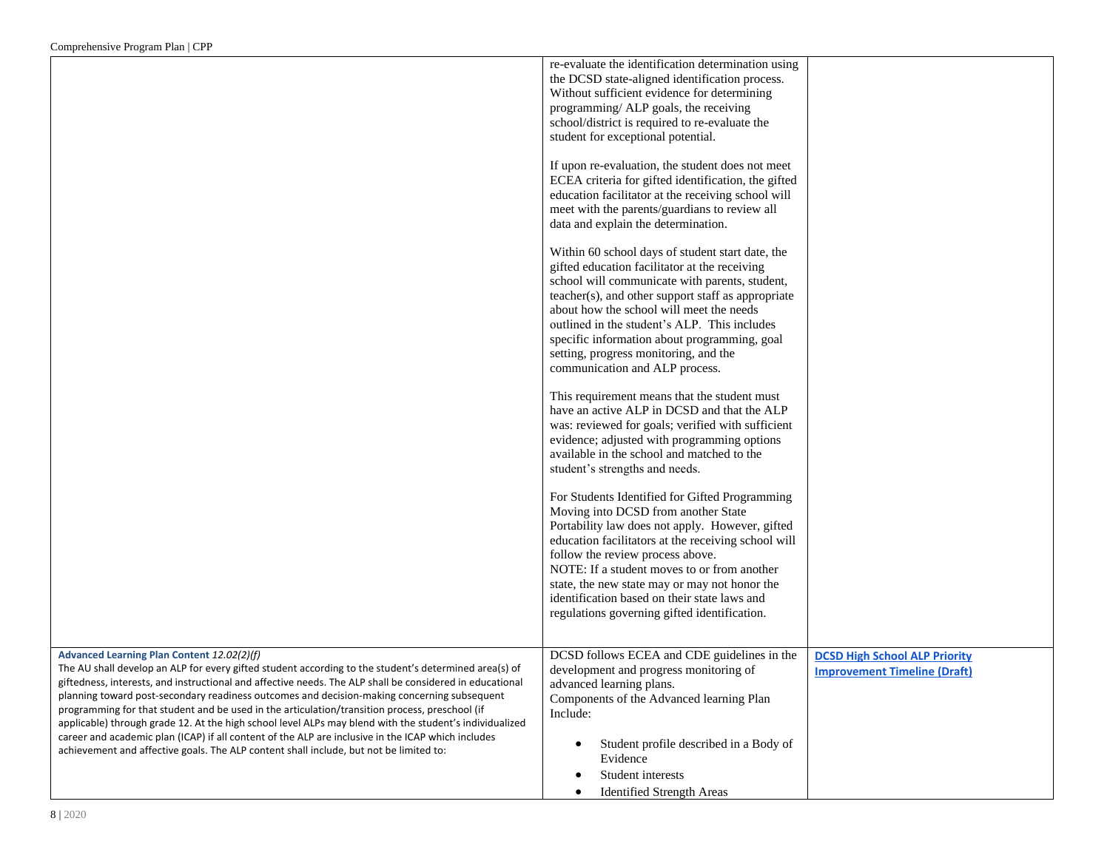|                                                                                                                                                                                                                                                                                                                                                                                                                                                                                                                               | re-evaluate the identification determination using<br>the DCSD state-aligned identification process.<br>Without sufficient evidence for determining<br>programming/ ALP goals, the receiving<br>school/district is required to re-evaluate the<br>student for exceptional potential.<br>If upon re-evaluation, the student does not meet<br>ECEA criteria for gifted identification, the gifted<br>education facilitator at the receiving school will<br>meet with the parents/guardians to review all<br>data and explain the determination.<br>Within 60 school days of student start date, the<br>gifted education facilitator at the receiving<br>school will communicate with parents, student,<br>teacher(s), and other support staff as appropriate<br>about how the school will meet the needs<br>outlined in the student's ALP. This includes<br>specific information about programming, goal<br>setting, progress monitoring, and the<br>communication and ALP process.<br>This requirement means that the student must<br>have an active ALP in DCSD and that the ALP<br>was: reviewed for goals; verified with sufficient<br>evidence; adjusted with programming options<br>available in the school and matched to the<br>student's strengths and needs.<br>For Students Identified for Gifted Programming<br>Moving into DCSD from another State<br>Portability law does not apply. However, gifted<br>education facilitators at the receiving school will<br>follow the review process above.<br>NOTE: If a student moves to or from another |                                      |
|-------------------------------------------------------------------------------------------------------------------------------------------------------------------------------------------------------------------------------------------------------------------------------------------------------------------------------------------------------------------------------------------------------------------------------------------------------------------------------------------------------------------------------|------------------------------------------------------------------------------------------------------------------------------------------------------------------------------------------------------------------------------------------------------------------------------------------------------------------------------------------------------------------------------------------------------------------------------------------------------------------------------------------------------------------------------------------------------------------------------------------------------------------------------------------------------------------------------------------------------------------------------------------------------------------------------------------------------------------------------------------------------------------------------------------------------------------------------------------------------------------------------------------------------------------------------------------------------------------------------------------------------------------------------------------------------------------------------------------------------------------------------------------------------------------------------------------------------------------------------------------------------------------------------------------------------------------------------------------------------------------------------------------------------------------------------------------------------------|--------------------------------------|
|                                                                                                                                                                                                                                                                                                                                                                                                                                                                                                                               | state, the new state may or may not honor the<br>identification based on their state laws and<br>regulations governing gifted identification.                                                                                                                                                                                                                                                                                                                                                                                                                                                                                                                                                                                                                                                                                                                                                                                                                                                                                                                                                                                                                                                                                                                                                                                                                                                                                                                                                                                                              |                                      |
| Advanced Learning Plan Content 12.02(2)(f)                                                                                                                                                                                                                                                                                                                                                                                                                                                                                    | DCSD follows ECEA and CDE guidelines in the                                                                                                                                                                                                                                                                                                                                                                                                                                                                                                                                                                                                                                                                                                                                                                                                                                                                                                                                                                                                                                                                                                                                                                                                                                                                                                                                                                                                                                                                                                                | <b>DCSD High School ALP Priority</b> |
| The AU shall develop an ALP for every gifted student according to the student's determined area(s) of<br>giftedness, interests, and instructional and affective needs. The ALP shall be considered in educational<br>planning toward post-secondary readiness outcomes and decision-making concerning subsequent<br>programming for that student and be used in the articulation/transition process, preschool (if<br>applicable) through grade 12. At the high school level ALPs may blend with the student's individualized | development and progress monitoring of<br>advanced learning plans.<br>Components of the Advanced learning Plan<br>Include:                                                                                                                                                                                                                                                                                                                                                                                                                                                                                                                                                                                                                                                                                                                                                                                                                                                                                                                                                                                                                                                                                                                                                                                                                                                                                                                                                                                                                                 | <b>Improvement Timeline (Draft)</b>  |
| career and academic plan (ICAP) if all content of the ALP are inclusive in the ICAP which includes<br>achievement and affective goals. The ALP content shall include, but not be limited to:                                                                                                                                                                                                                                                                                                                                  | Student profile described in a Body of<br>Evidence<br>Student interests<br><b>Identified Strength Areas</b>                                                                                                                                                                                                                                                                                                                                                                                                                                                                                                                                                                                                                                                                                                                                                                                                                                                                                                                                                                                                                                                                                                                                                                                                                                                                                                                                                                                                                                                |                                      |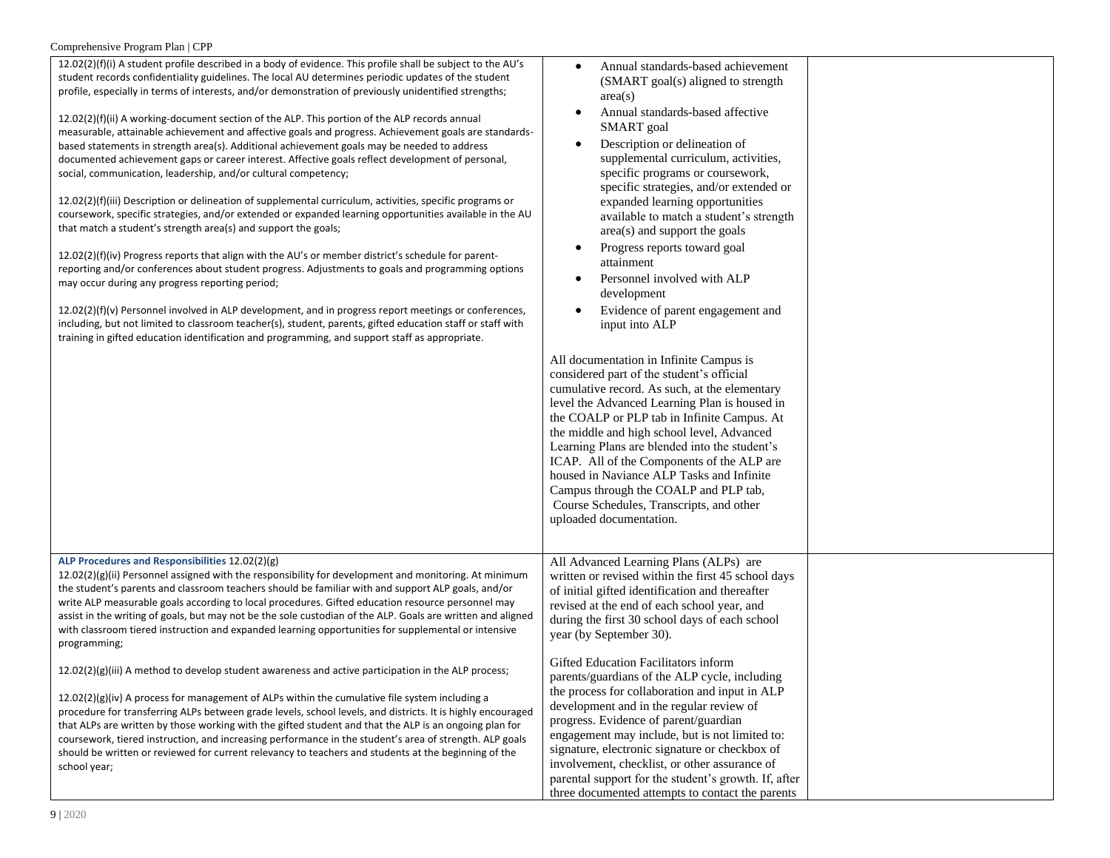| 12.02(2)(f)(i) A student profile described in a body of evidence. This profile shall be subject to the AU's<br>student records confidentiality guidelines. The local AU determines periodic updates of the student<br>profile, especially in terms of interests, and/or demonstration of previously unidentified strengths;<br>12.02(2)(f)(ii) A working-document section of the ALP. This portion of the ALP records annual<br>measurable, attainable achievement and affective goals and progress. Achievement goals are standards-<br>based statements in strength area(s). Additional achievement goals may be needed to address<br>documented achievement gaps or career interest. Affective goals reflect development of personal,<br>social, communication, leadership, and/or cultural competency;<br>12.02(2)(f)(iii) Description or delineation of supplemental curriculum, activities, specific programs or<br>coursework, specific strategies, and/or extended or expanded learning opportunities available in the AU<br>that match a student's strength area(s) and support the goals;<br>12.02(2)(f)(iv) Progress reports that align with the AU's or member district's schedule for parent-<br>reporting and/or conferences about student progress. Adjustments to goals and programming options<br>may occur during any progress reporting period;<br>12.02(2)(f)(v) Personnel involved in ALP development, and in progress report meetings or conferences,<br>including, but not limited to classroom teacher(s), student, parents, gifted education staff or staff with<br>training in gifted education identification and programming, and support staff as appropriate. | Annual standards-based achievement<br>(SMART goal(s) aligned to strength<br>area(s)<br>Annual standards-based affective<br>$\bullet$<br><b>SMART</b> goal<br>Description or delineation of<br>supplemental curriculum, activities,<br>specific programs or coursework,<br>specific strategies, and/or extended or<br>expanded learning opportunities<br>available to match a student's strength<br>area(s) and support the goals<br>Progress reports toward goal<br>$\bullet$<br>attainment<br>Personnel involved with ALP<br>development<br>Evidence of parent engagement and<br>input into ALP<br>All documentation in Infinite Campus is<br>considered part of the student's official<br>cumulative record. As such, at the elementary<br>level the Advanced Learning Plan is housed in<br>the COALP or PLP tab in Infinite Campus. At<br>the middle and high school level, Advanced<br>Learning Plans are blended into the student's<br>ICAP. All of the Components of the ALP are<br>housed in Naviance ALP Tasks and Infinite<br>Campus through the COALP and PLP tab,<br>Course Schedules, Transcripts, and other<br>uploaded documentation. |  |
|---------------------------------------------------------------------------------------------------------------------------------------------------------------------------------------------------------------------------------------------------------------------------------------------------------------------------------------------------------------------------------------------------------------------------------------------------------------------------------------------------------------------------------------------------------------------------------------------------------------------------------------------------------------------------------------------------------------------------------------------------------------------------------------------------------------------------------------------------------------------------------------------------------------------------------------------------------------------------------------------------------------------------------------------------------------------------------------------------------------------------------------------------------------------------------------------------------------------------------------------------------------------------------------------------------------------------------------------------------------------------------------------------------------------------------------------------------------------------------------------------------------------------------------------------------------------------------------------------------------------------------------------------------------------------------------------|-----------------------------------------------------------------------------------------------------------------------------------------------------------------------------------------------------------------------------------------------------------------------------------------------------------------------------------------------------------------------------------------------------------------------------------------------------------------------------------------------------------------------------------------------------------------------------------------------------------------------------------------------------------------------------------------------------------------------------------------------------------------------------------------------------------------------------------------------------------------------------------------------------------------------------------------------------------------------------------------------------------------------------------------------------------------------------------------------------------------------------------------------------|--|
|                                                                                                                                                                                                                                                                                                                                                                                                                                                                                                                                                                                                                                                                                                                                                                                                                                                                                                                                                                                                                                                                                                                                                                                                                                                                                                                                                                                                                                                                                                                                                                                                                                                                                             |                                                                                                                                                                                                                                                                                                                                                                                                                                                                                                                                                                                                                                                                                                                                                                                                                                                                                                                                                                                                                                                                                                                                                     |  |
| ALP Procedures and Responsibilities 12.02(2)(g)<br>12.02(2)(g)(ii) Personnel assigned with the responsibility for development and monitoring. At minimum<br>the student's parents and classroom teachers should be familiar with and support ALP goals, and/or<br>write ALP measurable goals according to local procedures. Gifted education resource personnel may<br>assist in the writing of goals, but may not be the sole custodian of the ALP. Goals are written and aligned<br>with classroom tiered instruction and expanded learning opportunities for supplemental or intensive<br>programming;                                                                                                                                                                                                                                                                                                                                                                                                                                                                                                                                                                                                                                                                                                                                                                                                                                                                                                                                                                                                                                                                                   | All Advanced Learning Plans (ALPs) are<br>written or revised within the first 45 school days<br>of initial gifted identification and thereafter<br>revised at the end of each school year, and<br>during the first 30 school days of each school<br>year (by September 30).                                                                                                                                                                                                                                                                                                                                                                                                                                                                                                                                                                                                                                                                                                                                                                                                                                                                         |  |
| $12.02(2)(g)(iii)$ A method to develop student awareness and active participation in the ALP process;<br>$12.02(2)(g)(iv)$ A process for management of ALPs within the cumulative file system including a<br>procedure for transferring ALPs between grade levels, school levels, and districts. It is highly encouraged<br>that ALPs are written by those working with the gifted student and that the ALP is an ongoing plan for<br>coursework, tiered instruction, and increasing performance in the student's area of strength. ALP goals<br>should be written or reviewed for current relevancy to teachers and students at the beginning of the<br>school year;                                                                                                                                                                                                                                                                                                                                                                                                                                                                                                                                                                                                                                                                                                                                                                                                                                                                                                                                                                                                                       | Gifted Education Facilitators inform<br>parents/guardians of the ALP cycle, including<br>the process for collaboration and input in ALP<br>development and in the regular review of<br>progress. Evidence of parent/guardian<br>engagement may include, but is not limited to:<br>signature, electronic signature or checkbox of<br>involvement, checklist, or other assurance of<br>parental support for the student's growth. If, after<br>three documented attempts to contact the parents                                                                                                                                                                                                                                                                                                                                                                                                                                                                                                                                                                                                                                                       |  |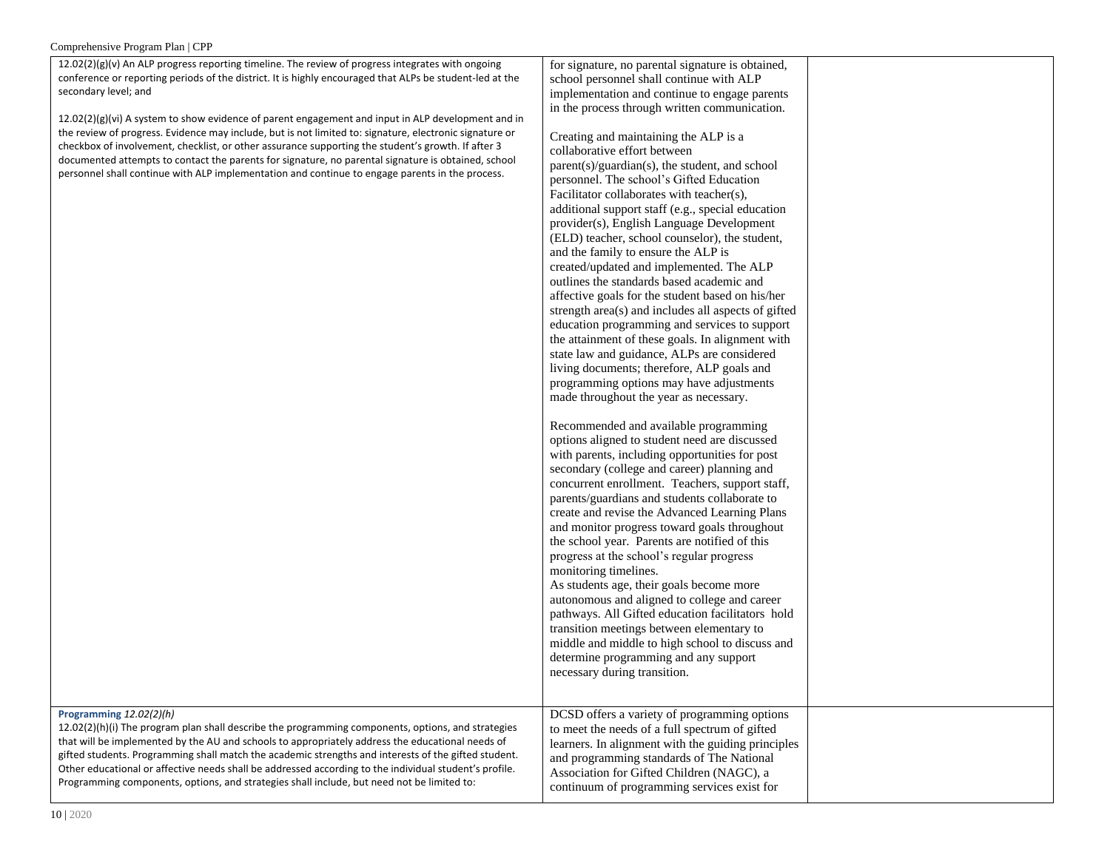| 12.02(2)(g)(v) An ALP progress reporting timeline. The review of progress integrates with ongoing<br>conference or reporting periods of the district. It is highly encouraged that ALPs be student-led at the<br>secondary level; and<br>12.02(2)(g)(vi) A system to show evidence of parent engagement and input in ALP development and in<br>the review of progress. Evidence may include, but is not limited to: signature, electronic signature or<br>checkbox of involvement, checklist, or other assurance supporting the student's growth. If after 3<br>documented attempts to contact the parents for signature, no parental signature is obtained, school<br>personnel shall continue with ALP implementation and continue to engage parents in the process. | for signature, no parental signature is obtained,<br>school personnel shall continue with ALP<br>implementation and continue to engage parents<br>in the process through written communication.<br>Creating and maintaining the ALP is a<br>collaborative effort between<br>parent(s)/guardian(s), the student, and school<br>personnel. The school's Gifted Education<br>Facilitator collaborates with teacher(s),<br>additional support staff (e.g., special education<br>provider(s), English Language Development<br>(ELD) teacher, school counselor), the student,<br>and the family to ensure the ALP is<br>created/updated and implemented. The ALP<br>outlines the standards based academic and<br>affective goals for the student based on his/her<br>strength area(s) and includes all aspects of gifted<br>education programming and services to support<br>the attainment of these goals. In alignment with<br>state law and guidance, ALPs are considered<br>living documents; therefore, ALP goals and<br>programming options may have adjustments<br>made throughout the year as necessary.<br>Recommended and available programming<br>options aligned to student need are discussed<br>with parents, including opportunities for post<br>secondary (college and career) planning and<br>concurrent enrollment. Teachers, support staff,<br>parents/guardians and students collaborate to<br>create and revise the Advanced Learning Plans<br>and monitor progress toward goals throughout<br>the school year. Parents are notified of this<br>progress at the school's regular progress<br>monitoring timelines.<br>As students age, their goals become more<br>autonomous and aligned to college and career<br>pathways. All Gifted education facilitators hold<br>transition meetings between elementary to<br>middle and middle to high school to discuss and<br>determine programming and any support<br>necessary during transition. |  |
|------------------------------------------------------------------------------------------------------------------------------------------------------------------------------------------------------------------------------------------------------------------------------------------------------------------------------------------------------------------------------------------------------------------------------------------------------------------------------------------------------------------------------------------------------------------------------------------------------------------------------------------------------------------------------------------------------------------------------------------------------------------------|------------------------------------------------------------------------------------------------------------------------------------------------------------------------------------------------------------------------------------------------------------------------------------------------------------------------------------------------------------------------------------------------------------------------------------------------------------------------------------------------------------------------------------------------------------------------------------------------------------------------------------------------------------------------------------------------------------------------------------------------------------------------------------------------------------------------------------------------------------------------------------------------------------------------------------------------------------------------------------------------------------------------------------------------------------------------------------------------------------------------------------------------------------------------------------------------------------------------------------------------------------------------------------------------------------------------------------------------------------------------------------------------------------------------------------------------------------------------------------------------------------------------------------------------------------------------------------------------------------------------------------------------------------------------------------------------------------------------------------------------------------------------------------------------------------------------------------------------------------------------------------------------------------------------------------------------------------|--|
| Programming 12.02(2)(h)<br>$12.02(2)(h)(i)$ The program plan shall describe the programming components, options, and strategies<br>that will be implemented by the AU and schools to appropriately address the educational needs of<br>gifted students. Programming shall match the academic strengths and interests of the gifted student.<br>Other educational or affective needs shall be addressed according to the individual student's profile.<br>Programming components, options, and strategies shall include, but need not be limited to:                                                                                                                                                                                                                    | DCSD offers a variety of programming options<br>to meet the needs of a full spectrum of gifted<br>learners. In alignment with the guiding principles<br>and programming standards of The National<br>Association for Gifted Children (NAGC), a<br>continuum of programming services exist for                                                                                                                                                                                                                                                                                                                                                                                                                                                                                                                                                                                                                                                                                                                                                                                                                                                                                                                                                                                                                                                                                                                                                                                                                                                                                                                                                                                                                                                                                                                                                                                                                                                              |  |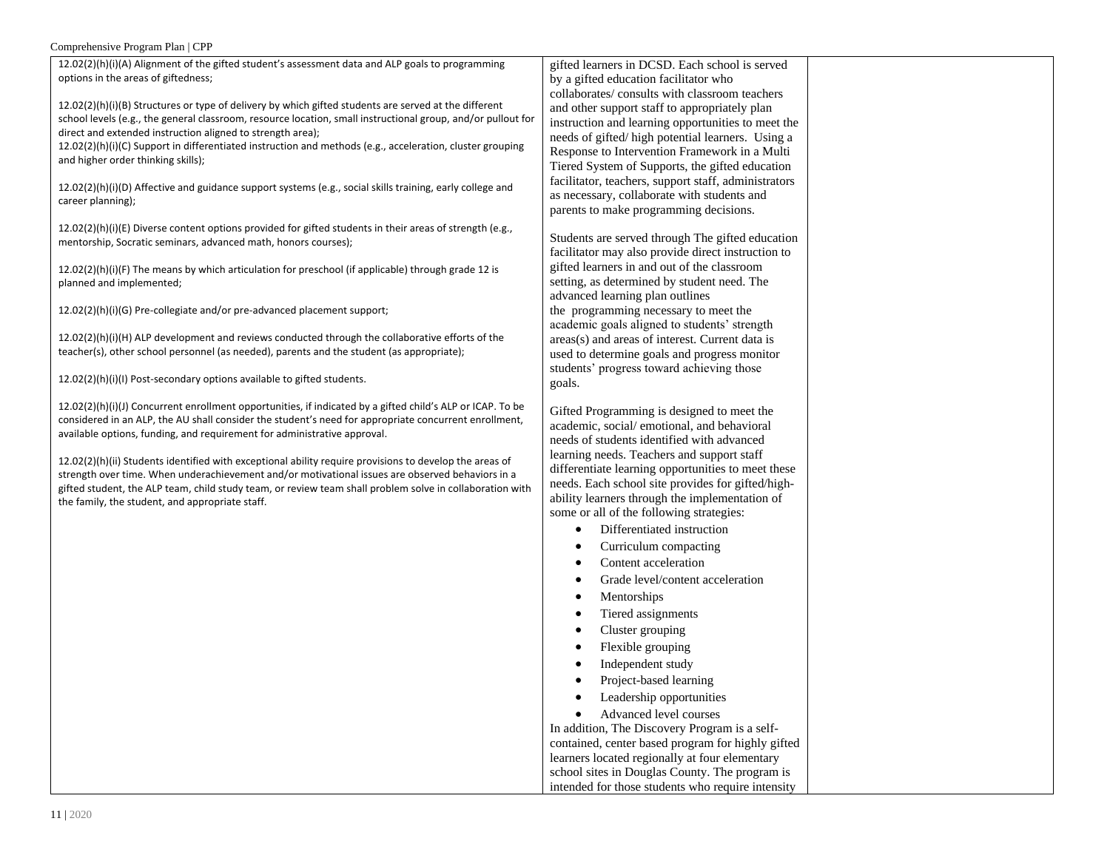| $12.02(2)(h)(i)(A)$ Alignment of the gifted student's assessment data and ALP goals to programming |  |
|----------------------------------------------------------------------------------------------------|--|
| options in the areas of giftedness;                                                                |  |

12.02(2)(h)(i)(B) Structures or type of delivery by which gifted students are served at the different school levels (e.g., the general classroom, resource location, small instructional group, and/or pullout for direct and extended instruction aligned to strength area);

12.02(2)(h)(i)(C) Support in differentiated instruction and methods (e.g., acceleration, cluster grouping and higher order thinking skills);

12.02(2)(h)(i)(D) Affective and guidance support systems (e.g., social skills training, early college and career planning);

12.02(2)(h)(i)(E) Diverse content options provided for gifted students in their areas of strength (e.g., mentorship, Socratic seminars, advanced math, honors courses);

 $12.02(2)(h)(i)(F)$  The means by which articulation for preschool (if applicable) through grade 12 is planned and implemented;

12.02(2)(h)(i)(G) Pre-collegiate and/or pre-advanced placement support;

12.02(2)(h)(i)(H) ALP development and reviews conducted through the collaborative efforts of the teacher(s), other school personnel (as needed), parents and the student (as appropriate);

12.02(2)(h)(i)(I) Post-secondary options available to gifted students.

12.02(2)(h)(i)(J) Concurrent enrollment opportunities, if indicated by a gifted child's ALP or ICAP. To be considered in an ALP, the AU shall consider the student's need for appropriate concurrent enrollment, available options, funding, and requirement for administrative approval.

12.02(2)(h)(ii) Students identified with exceptional ability require provisions to develop the areas of strength over time. When underachievement and/or motivational issues are observed behaviors in a gifted student, the ALP team, child study team, or review team shall problem solve in collaboration with the family, the student, and appropriate staff.

gifted learners in DCSD. Each school is served by a gifted education facilitator who collaborates/ consults with classroom teachers and other support staff to appropriately plan instruction and learning opportunities to meet the needs of gifted/ high potential learners. Using a Response to Intervention Framework in a Multi Tiered System of Supports, the gifted education facilitator, teachers, support staff, administrators as necessary, collaborate with students and parents to make programming decisions.

Students are served through The gifted education facilitator may also provide direct instruction to gifted learners in and out of the classroom setting, as determined by student need. The advanced learning plan outlines the programming necessary to meet the academic goals aligned to students' strength areas(s) and areas of interest. Current data is used to determine goals and progress monitor students' progress toward achieving those goals.

Gifted Programming is designed to meet the academic, social/ emotional, and behavioral needs of students identified with advanced learning needs. Teachers and support staff differentiate learning opportunities to meet these needs. Each school site provides for gifted/highability learners through the implementation of some or all of the following strategies:

- Differentiated instruction
- Curriculum compacting
- Content acceleration
- Grade level/content acceleration
- Mentorships
- Tiered assignments
- Cluster grouping
- Flexible grouping
- Independent study
- Project-based learning
- Leadership opportunities

• Advanced level courses In addition, The Discovery Program is a selfcontained, center based program for highly gifted learners located regionally at four elementary

school sites in Douglas County. The program is intended for those students who require intensity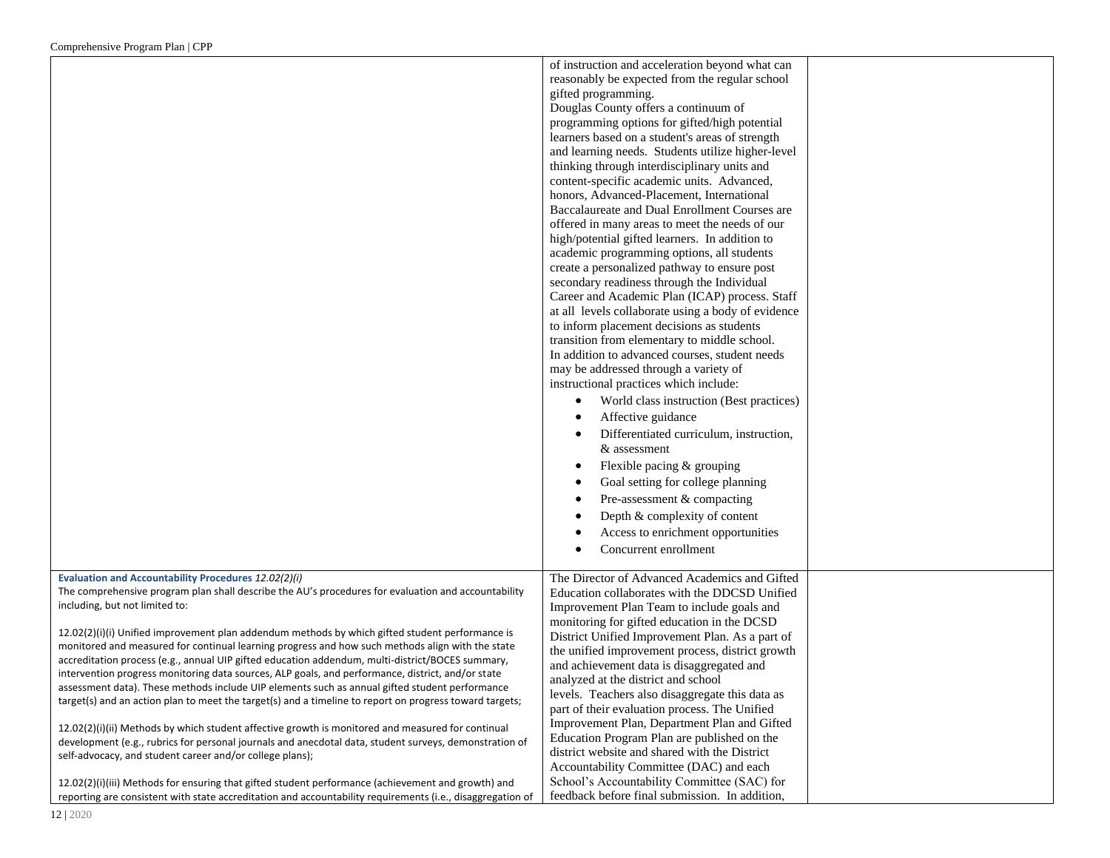|                                                                                                                                                                                                                                                                                                                                                                                                                                                                                                                                                                                                                                                                                                                                                                                                                                                                                                                                                                                                                                                                                                                                                                                                                                                                                                                           | of instruction and acceleration beyond what can<br>reasonably be expected from the regular school<br>gifted programming.<br>Douglas County offers a continuum of<br>programming options for gifted/high potential<br>learners based on a student's areas of strength<br>and learning needs. Students utilize higher-level<br>thinking through interdisciplinary units and<br>content-specific academic units. Advanced,<br>honors, Advanced-Placement, International<br>Baccalaureate and Dual Enrollment Courses are<br>offered in many areas to meet the needs of our<br>high/potential gifted learners. In addition to<br>academic programming options, all students<br>create a personalized pathway to ensure post<br>secondary readiness through the Individual<br>Career and Academic Plan (ICAP) process. Staff<br>at all levels collaborate using a body of evidence<br>to inform placement decisions as students<br>transition from elementary to middle school.<br>In addition to advanced courses, student needs<br>may be addressed through a variety of<br>instructional practices which include:<br>World class instruction (Best practices)<br>$\bullet$<br>Affective guidance<br>Differentiated curriculum, instruction,<br>& assessment<br>Flexible pacing & grouping<br>٠<br>Goal setting for college planning<br>Pre-assessment & compacting<br>٠<br>Depth & complexity of content<br>Access to enrichment opportunities<br>٠<br>Concurrent enrollment<br>$\bullet$ |  |
|---------------------------------------------------------------------------------------------------------------------------------------------------------------------------------------------------------------------------------------------------------------------------------------------------------------------------------------------------------------------------------------------------------------------------------------------------------------------------------------------------------------------------------------------------------------------------------------------------------------------------------------------------------------------------------------------------------------------------------------------------------------------------------------------------------------------------------------------------------------------------------------------------------------------------------------------------------------------------------------------------------------------------------------------------------------------------------------------------------------------------------------------------------------------------------------------------------------------------------------------------------------------------------------------------------------------------|-----------------------------------------------------------------------------------------------------------------------------------------------------------------------------------------------------------------------------------------------------------------------------------------------------------------------------------------------------------------------------------------------------------------------------------------------------------------------------------------------------------------------------------------------------------------------------------------------------------------------------------------------------------------------------------------------------------------------------------------------------------------------------------------------------------------------------------------------------------------------------------------------------------------------------------------------------------------------------------------------------------------------------------------------------------------------------------------------------------------------------------------------------------------------------------------------------------------------------------------------------------------------------------------------------------------------------------------------------------------------------------------------------------------------------------------------------------------------------------------|--|
| Evaluation and Accountability Procedures 12.02(2)(i)<br>The comprehensive program plan shall describe the AU's procedures for evaluation and accountability<br>including, but not limited to:<br>12.02(2)(i)(i) Unified improvement plan addendum methods by which gifted student performance is<br>monitored and measured for continual learning progress and how such methods align with the state<br>accreditation process (e.g., annual UIP gifted education addendum, multi-district/BOCES summary,<br>intervention progress monitoring data sources, ALP goals, and performance, district, and/or state<br>assessment data). These methods include UIP elements such as annual gifted student performance<br>target(s) and an action plan to meet the target(s) and a timeline to report on progress toward targets;<br>12.02(2)(i)(ii) Methods by which student affective growth is monitored and measured for continual<br>development (e.g., rubrics for personal journals and anecdotal data, student surveys, demonstration of<br>self-advocacy, and student career and/or college plans);<br>12.02(2)(i)(iii) Methods for ensuring that gifted student performance (achievement and growth) and<br>reporting are consistent with state accreditation and accountability requirements (i.e., disaggregation of | The Director of Advanced Academics and Gifted<br>Education collaborates with the DDCSD Unified<br>Improvement Plan Team to include goals and<br>monitoring for gifted education in the DCSD<br>District Unified Improvement Plan. As a part of<br>the unified improvement process, district growth<br>and achievement data is disaggregated and<br>analyzed at the district and school<br>levels. Teachers also disaggregate this data as<br>part of their evaluation process. The Unified<br>Improvement Plan, Department Plan and Gifted<br>Education Program Plan are published on the<br>district website and shared with the District<br>Accountability Committee (DAC) and each<br>School's Accountability Committee (SAC) for<br>feedback before final submission. In addition,                                                                                                                                                                                                                                                                                                                                                                                                                                                                                                                                                                                                                                                                                                  |  |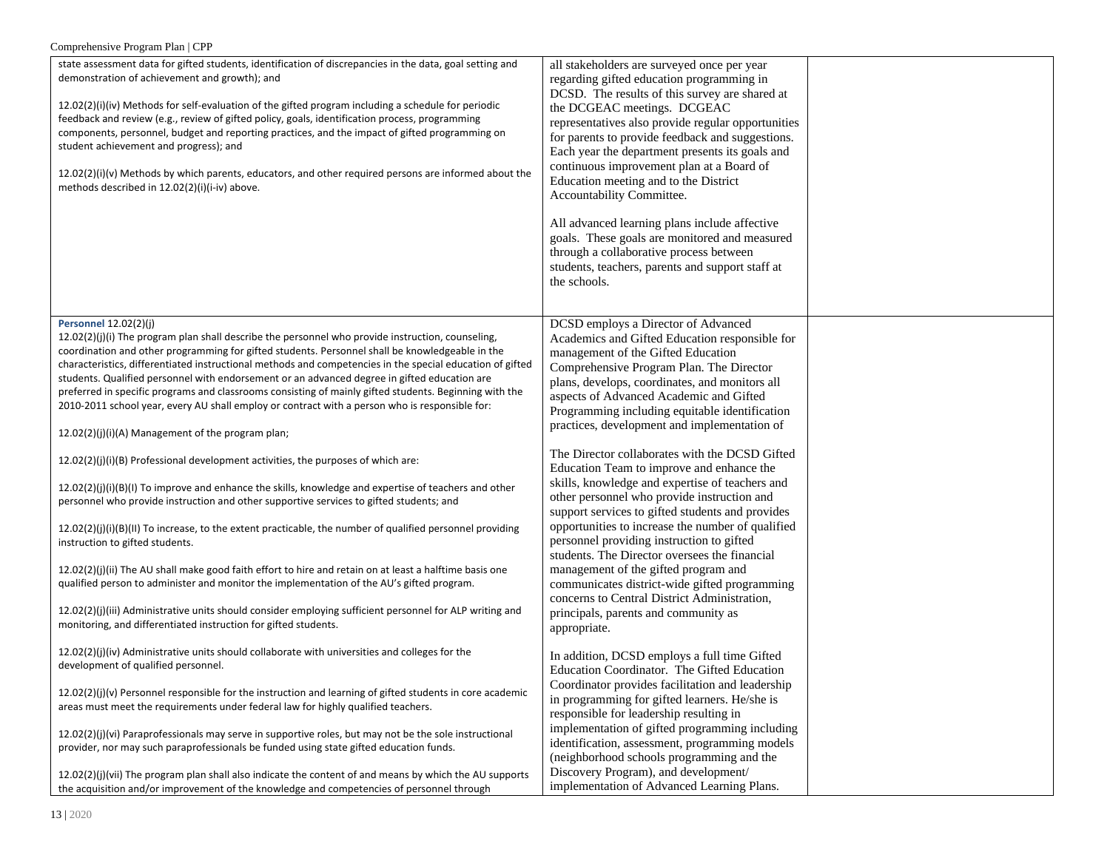| Comprehensive Program Plan   CPP                                                                                                                                                                                                                                                                                                                                                                                                                                                                                                                                                                                                                                                                                                                                                                                                                                                                                                                                                                                                                                                                                                                                                                                                                                                                                                                                                                                                                                                                                                                       |                                                                                                                                                                                                                                                                                                                                                                                                                                                                                                                                                                                                                                                                                                                                                                                                                                                                                                                                                                                 |  |
|--------------------------------------------------------------------------------------------------------------------------------------------------------------------------------------------------------------------------------------------------------------------------------------------------------------------------------------------------------------------------------------------------------------------------------------------------------------------------------------------------------------------------------------------------------------------------------------------------------------------------------------------------------------------------------------------------------------------------------------------------------------------------------------------------------------------------------------------------------------------------------------------------------------------------------------------------------------------------------------------------------------------------------------------------------------------------------------------------------------------------------------------------------------------------------------------------------------------------------------------------------------------------------------------------------------------------------------------------------------------------------------------------------------------------------------------------------------------------------------------------------------------------------------------------------|---------------------------------------------------------------------------------------------------------------------------------------------------------------------------------------------------------------------------------------------------------------------------------------------------------------------------------------------------------------------------------------------------------------------------------------------------------------------------------------------------------------------------------------------------------------------------------------------------------------------------------------------------------------------------------------------------------------------------------------------------------------------------------------------------------------------------------------------------------------------------------------------------------------------------------------------------------------------------------|--|
| state assessment data for gifted students, identification of discrepancies in the data, goal setting and<br>demonstration of achievement and growth); and<br>12.02(2)(i)(iv) Methods for self-evaluation of the gifted program including a schedule for periodic<br>feedback and review (e.g., review of gifted policy, goals, identification process, programming<br>components, personnel, budget and reporting practices, and the impact of gifted programming on<br>student achievement and progress); and<br>$12.02(2)(i)(v)$ Methods by which parents, educators, and other required persons are informed about the<br>methods described in 12.02(2)(i)(i-iv) above.                                                                                                                                                                                                                                                                                                                                                                                                                                                                                                                                                                                                                                                                                                                                                                                                                                                                             | all stakeholders are surveyed once per year<br>regarding gifted education programming in<br>DCSD. The results of this survey are shared at<br>the DCGEAC meetings. DCGEAC<br>representatives also provide regular opportunities<br>for parents to provide feedback and suggestions.<br>Each year the department presents its goals and<br>continuous improvement plan at a Board of<br>Education meeting and to the District<br>Accountability Committee.<br>All advanced learning plans include affective<br>goals. These goals are monitored and measured<br>through a collaborative process between<br>students, teachers, parents and support staff at<br>the schools.                                                                                                                                                                                                                                                                                                      |  |
| <b>Personnel 12.02(2)(j)</b><br>$12.02(2)(j)(i)$ The program plan shall describe the personnel who provide instruction, counseling,<br>coordination and other programming for gifted students. Personnel shall be knowledgeable in the<br>characteristics, differentiated instructional methods and competencies in the special education of gifted<br>students. Qualified personnel with endorsement or an advanced degree in gifted education are<br>preferred in specific programs and classrooms consisting of mainly gifted students. Beginning with the<br>2010-2011 school year, every AU shall employ or contract with a person who is responsible for:<br>12.02(2)(j)(i)(A) Management of the program plan;<br>12.02(2)(j)(i)(B) Professional development activities, the purposes of which are:<br>12.02(2)(j)(i)(B)(I) To improve and enhance the skills, knowledge and expertise of teachers and other<br>personnel who provide instruction and other supportive services to gifted students; and<br>$12.02(2)(j)(i)(B)(II)$ To increase, to the extent practicable, the number of qualified personnel providing<br>instruction to gifted students.<br>12.02(2)(j)(ii) The AU shall make good faith effort to hire and retain on at least a halftime basis one<br>qualified person to administer and monitor the implementation of the AU's gifted program.<br>12.02(2)(j)(iii) Administrative units should consider employing sufficient personnel for ALP writing and<br>monitoring, and differentiated instruction for gifted students. | DCSD employs a Director of Advanced<br>Academics and Gifted Education responsible for<br>management of the Gifted Education<br>Comprehensive Program Plan. The Director<br>plans, develops, coordinates, and monitors all<br>aspects of Advanced Academic and Gifted<br>Programming including equitable identification<br>practices, development and implementation of<br>The Director collaborates with the DCSD Gifted<br>Education Team to improve and enhance the<br>skills, knowledge and expertise of teachers and<br>other personnel who provide instruction and<br>support services to gifted students and provides<br>opportunities to increase the number of qualified<br>personnel providing instruction to gifted<br>students. The Director oversees the financial<br>management of the gifted program and<br>communicates district-wide gifted programming<br>concerns to Central District Administration,<br>principals, parents and community as<br>appropriate. |  |
| 12.02(2)(j)(iv) Administrative units should collaborate with universities and colleges for the<br>development of qualified personnel.<br>$12.02(2)(i)(v)$ Personnel responsible for the instruction and learning of gifted students in core academic<br>areas must meet the requirements under federal law for highly qualified teachers.<br>12.02(2)(j)(vi) Paraprofessionals may serve in supportive roles, but may not be the sole instructional<br>provider, nor may such paraprofessionals be funded using state gifted education funds.<br>12.02(2)(j)(vii) The program plan shall also indicate the content of and means by which the AU supports<br>the acquisition and/or improvement of the knowledge and competencies of personnel through                                                                                                                                                                                                                                                                                                                                                                                                                                                                                                                                                                                                                                                                                                                                                                                                  | In addition, DCSD employs a full time Gifted<br>Education Coordinator. The Gifted Education<br>Coordinator provides facilitation and leadership<br>in programming for gifted learners. He/she is<br>responsible for leadership resulting in<br>implementation of gifted programming including<br>identification, assessment, programming models<br>(neighborhood schools programming and the<br>Discovery Program), and development/<br>implementation of Advanced Learning Plans.                                                                                                                                                                                                                                                                                                                                                                                                                                                                                              |  |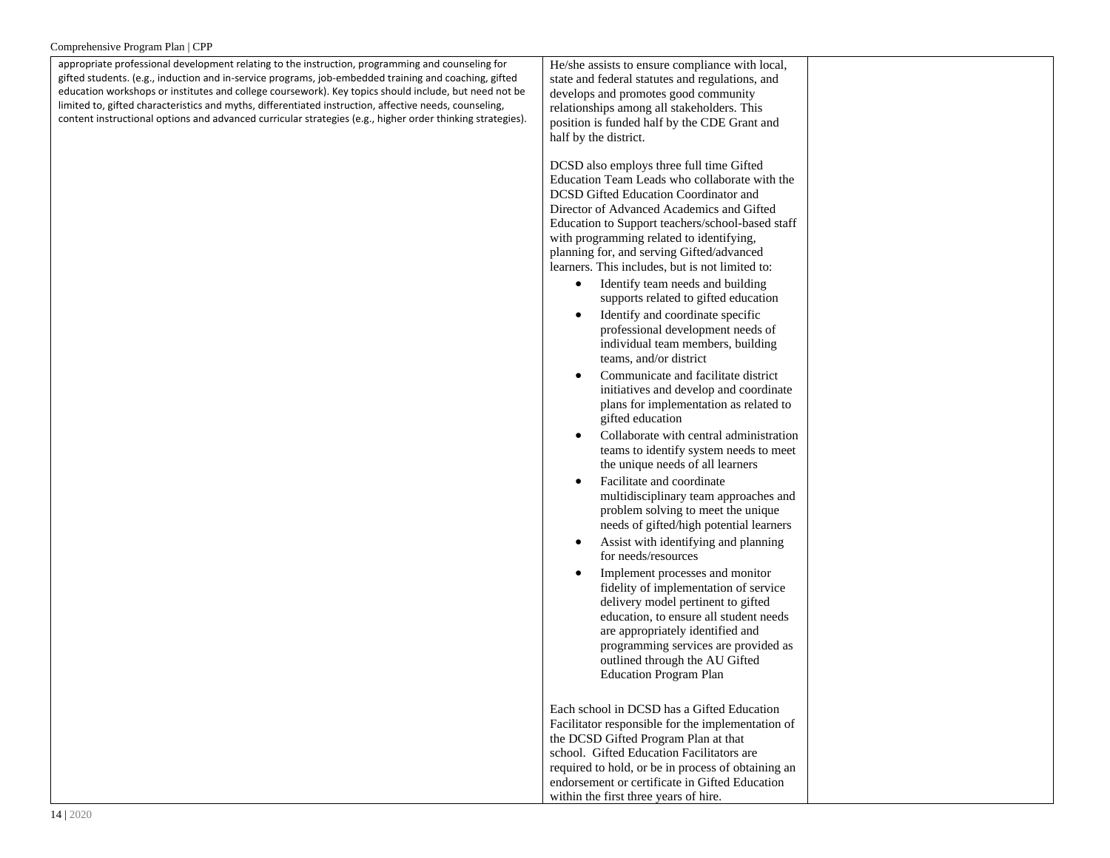appropriate professional development relating to the instruction, programming and counseling for gifted students. (e.g., induction and in-service programs, job-embedded training and coaching, gifted education workshops or institutes and college coursework). Key topics should include, but need not be limited to, gifted characteristics and myths, differentiated instruction, affective needs, counseling, content instructional options and advanced curricular strategies (e.g., higher order thinking strategies).

He/she assists to ensure compliance with local, state and federal statutes and regulations, and develops and promotes good community relationships among all stakeholders. This position is funded half by the CDE Grant and half by the district.

DCSD also employs three full time Gifted Education Team Leads who collaborate with the DCSD Gifted Education Coordinator and Director of Advanced Academics and Gifted Education to Support teachers/school-based staff with programming related to identifying, planning for, and serving Gifted/advanced learners. This includes, but is not limited to:

- Identify team needs and building supports related to gifted education
- Identify and coordinate specific professional development needs of individual team members, building teams, and/or district
- Communicate and facilitate district initiatives and develop and coordinate plans for implementation as related to gifted education
- Collaborate with central administration teams to identify system needs to meet the unique needs of all learners
- Facilitate and coordinate multidisciplinary team approaches and problem solving to meet the unique needs of gifted/high potential learners
- Assist with identifying and planning for needs/resources
- Implement processes and monitor fidelity of implementation of service delivery model pertinent to gifted education, to ensure all student needs are appropriately identified and programming services are provided as outlined through the AU Gifted Education Program Plan

Each school in DCSD has a Gifted Education Facilitator responsible for the implementation of the DCSD Gifted Program Plan at that school. Gifted Education Facilitators are required to hold, or be in process of obtaining an endorsement or certificate in Gifted Education within the first three years of hire.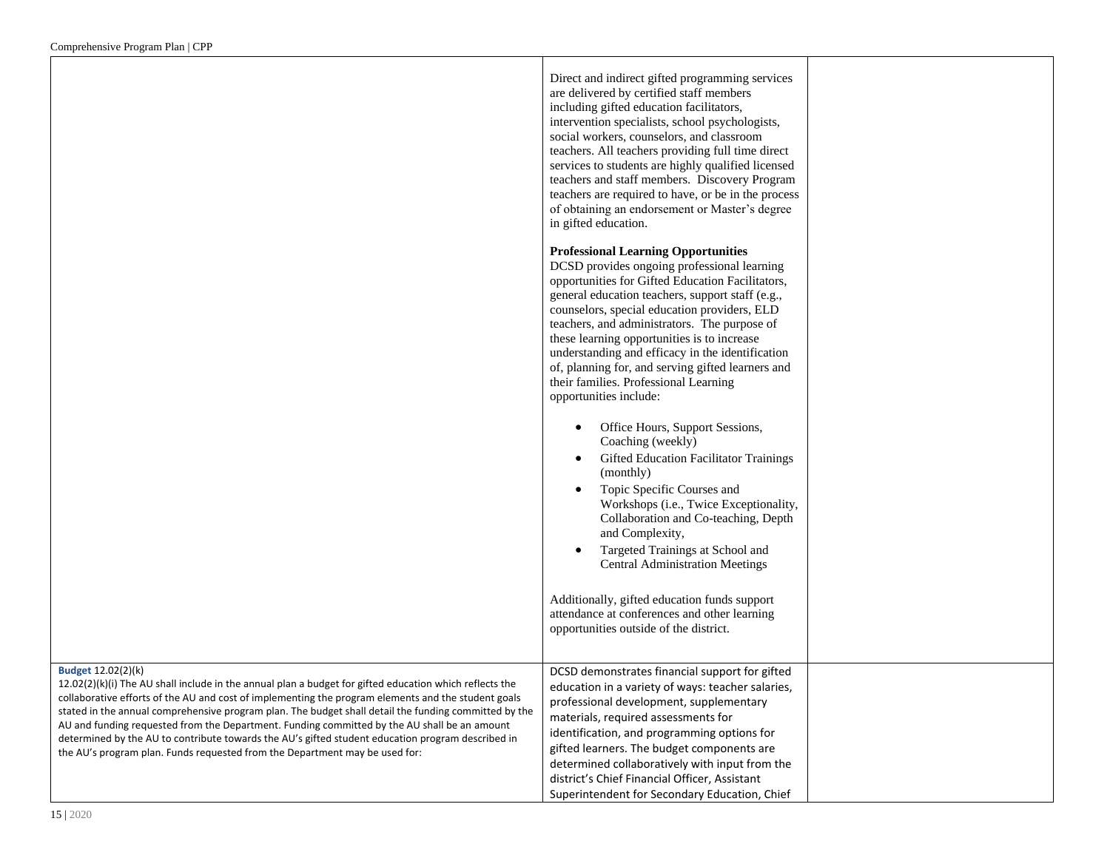| Direct and indirect gifted programming services     |  |
|-----------------------------------------------------|--|
| are delivered by certified staff members            |  |
| including gifted education facilitators,            |  |
| intervention specialists, school psychologists,     |  |
| social workers, counselors, and classroom           |  |
| teachers. All teachers providing full time direct   |  |
| services to students are highly qualified licensed  |  |
| teachers and staff members. Discovery Program       |  |
| teachers are required to have, or be in the process |  |
| of obtaining an endorsement or Master's degree      |  |
| in gifted education.                                |  |

## **Professional Learning Opportunities**

DCSD provides ongoing professional learning opportunities for Gifted Education Facilitators, general education teachers, support staff (e.g., counselors, special education providers, ELD teachers, and administrators. The purpose of these learning opportunities is to increase understanding and efficacy in the identification of, planning for, and serving gifted learners and their families. Professional Learning opportunities include:

|                                                                                                                                                                                                                                                                                                                                                                                                                                                                                                                                                                                                                                            | Office Hours, Support Sessions,<br>Coaching (weekly)<br><b>Gifted Education Facilitator Trainings</b><br>(monthly)<br>Topic Specific Courses and<br>Workshops ( <i>i.e.</i> , Twice Exceptionality,<br>Collaboration and Co-teaching, Depth<br>and Complexity,<br>Targeted Trainings at School and<br><b>Central Administration Meetings</b><br>Additionally, gifted education funds support<br>attendance at conferences and other learning<br>opportunities outside of the district. |
|--------------------------------------------------------------------------------------------------------------------------------------------------------------------------------------------------------------------------------------------------------------------------------------------------------------------------------------------------------------------------------------------------------------------------------------------------------------------------------------------------------------------------------------------------------------------------------------------------------------------------------------------|----------------------------------------------------------------------------------------------------------------------------------------------------------------------------------------------------------------------------------------------------------------------------------------------------------------------------------------------------------------------------------------------------------------------------------------------------------------------------------------|
| <b>Budget 12.02(2)(k)</b><br>$12.02(2)(k)(i)$ The AU shall include in the annual plan a budget for gifted education which reflects the<br>collaborative efforts of the AU and cost of implementing the program elements and the student goals<br>stated in the annual comprehensive program plan. The budget shall detail the funding committed by the<br>AU and funding requested from the Department. Funding committed by the AU shall be an amount<br>determined by the AU to contribute towards the AU's gifted student education program described in<br>the AU's program plan. Funds requested from the Department may be used for: | DCSD demonstrates financial support for gifted<br>education in a variety of ways: teacher salaries,<br>professional development, supplementary<br>materials, required assessments for<br>identification, and programming options for<br>gifted learners. The budget components are<br>determined collaboratively with input from the<br>district's Chief Financial Officer, Assistant<br>Superintendent for Secondary Education, Chief                                                 |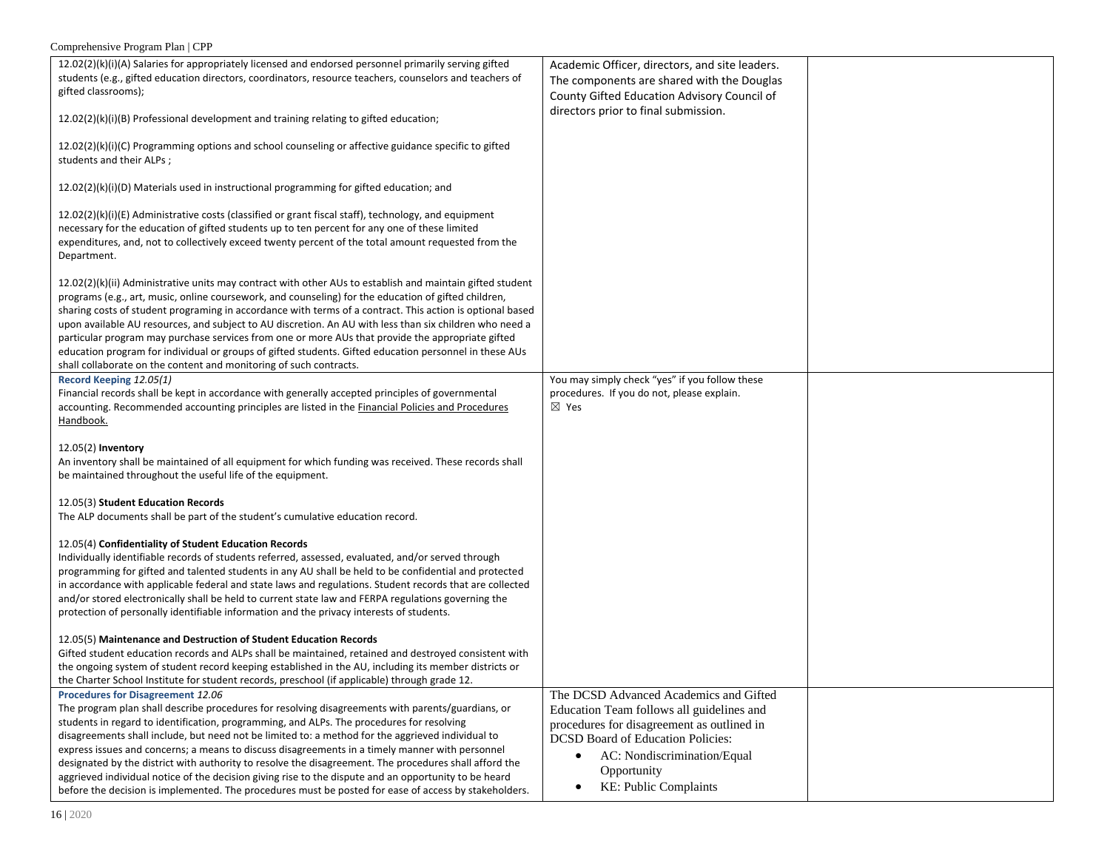| 12.02(2)(k)(i)(A) Salaries for appropriately licensed and endorsed personnel primarily serving gifted<br>students (e.g., gifted education directors, coordinators, resource teachers, counselors and teachers of<br>gifted classrooms);                                                                                                                                                                                                                                                                                                                                                                                                                                                                                                                                 | Academic Officer, directors, and site leaders.<br>The components are shared with the Douglas<br>County Gifted Education Advisory Council of<br>directors prior to final submission.                                                                                            |  |
|-------------------------------------------------------------------------------------------------------------------------------------------------------------------------------------------------------------------------------------------------------------------------------------------------------------------------------------------------------------------------------------------------------------------------------------------------------------------------------------------------------------------------------------------------------------------------------------------------------------------------------------------------------------------------------------------------------------------------------------------------------------------------|--------------------------------------------------------------------------------------------------------------------------------------------------------------------------------------------------------------------------------------------------------------------------------|--|
| $12.02(2)(k)(i)(B)$ Professional development and training relating to gifted education;<br>12.02(2)(k)(i)(C) Programming options and school counseling or affective guidance specific to gifted<br>students and their ALPs;                                                                                                                                                                                                                                                                                                                                                                                                                                                                                                                                             |                                                                                                                                                                                                                                                                                |  |
| 12.02(2)(k)(i)(D) Materials used in instructional programming for gifted education; and                                                                                                                                                                                                                                                                                                                                                                                                                                                                                                                                                                                                                                                                                 |                                                                                                                                                                                                                                                                                |  |
| $12.02(2)(k)(i)(E)$ Administrative costs (classified or grant fiscal staff), technology, and equipment<br>necessary for the education of gifted students up to ten percent for any one of these limited<br>expenditures, and, not to collectively exceed twenty percent of the total amount requested from the<br>Department.                                                                                                                                                                                                                                                                                                                                                                                                                                           |                                                                                                                                                                                                                                                                                |  |
| 12.02(2)(k)(ii) Administrative units may contract with other AUs to establish and maintain gifted student<br>programs (e.g., art, music, online coursework, and counseling) for the education of gifted children,<br>sharing costs of student programing in accordance with terms of a contract. This action is optional based<br>upon available AU resources, and subject to AU discretion. An AU with less than six children who need a<br>particular program may purchase services from one or more AUs that provide the appropriate gifted<br>education program for individual or groups of gifted students. Gifted education personnel in these AUs<br>shall collaborate on the content and monitoring of such contracts.                                          |                                                                                                                                                                                                                                                                                |  |
| Record Keeping 12.05(1)<br>Financial records shall be kept in accordance with generally accepted principles of governmental<br>accounting. Recommended accounting principles are listed in the Financial Policies and Procedures<br>Handbook.                                                                                                                                                                                                                                                                                                                                                                                                                                                                                                                           | You may simply check "yes" if you follow these<br>procedures. If you do not, please explain.<br>$\boxtimes$ Yes                                                                                                                                                                |  |
| 12.05(2) Inventory<br>An inventory shall be maintained of all equipment for which funding was received. These records shall<br>be maintained throughout the useful life of the equipment.                                                                                                                                                                                                                                                                                                                                                                                                                                                                                                                                                                               |                                                                                                                                                                                                                                                                                |  |
| 12.05(3) Student Education Records<br>The ALP documents shall be part of the student's cumulative education record.                                                                                                                                                                                                                                                                                                                                                                                                                                                                                                                                                                                                                                                     |                                                                                                                                                                                                                                                                                |  |
| 12.05(4) Confidentiality of Student Education Records<br>Individually identifiable records of students referred, assessed, evaluated, and/or served through<br>programming for gifted and talented students in any AU shall be held to be confidential and protected<br>in accordance with applicable federal and state laws and regulations. Student records that are collected<br>and/or stored electronically shall be held to current state law and FERPA regulations governing the<br>protection of personally identifiable information and the privacy interests of students.                                                                                                                                                                                     |                                                                                                                                                                                                                                                                                |  |
| 12.05(5) Maintenance and Destruction of Student Education Records<br>Gifted student education records and ALPs shall be maintained, retained and destroyed consistent with<br>the ongoing system of student record keeping established in the AU, including its member districts or<br>the Charter School Institute for student records, preschool (if applicable) through grade 12.                                                                                                                                                                                                                                                                                                                                                                                    |                                                                                                                                                                                                                                                                                |  |
| Procedures for Disagreement 12.06<br>The program plan shall describe procedures for resolving disagreements with parents/guardians, or<br>students in regard to identification, programming, and ALPs. The procedures for resolving<br>disagreements shall include, but need not be limited to: a method for the aggrieved individual to<br>express issues and concerns; a means to discuss disagreements in a timely manner with personnel<br>designated by the district with authority to resolve the disagreement. The procedures shall afford the<br>aggrieved individual notice of the decision giving rise to the dispute and an opportunity to be heard<br>before the decision is implemented. The procedures must be posted for ease of access by stakeholders. | The DCSD Advanced Academics and Gifted<br>Education Team follows all guidelines and<br>procedures for disagreement as outlined in<br><b>DCSD Board of Education Policies:</b><br>AC: Nondiscrimination/Equal<br>$\bullet$<br>Opportunity<br>KE: Public Complaints<br>$\bullet$ |  |